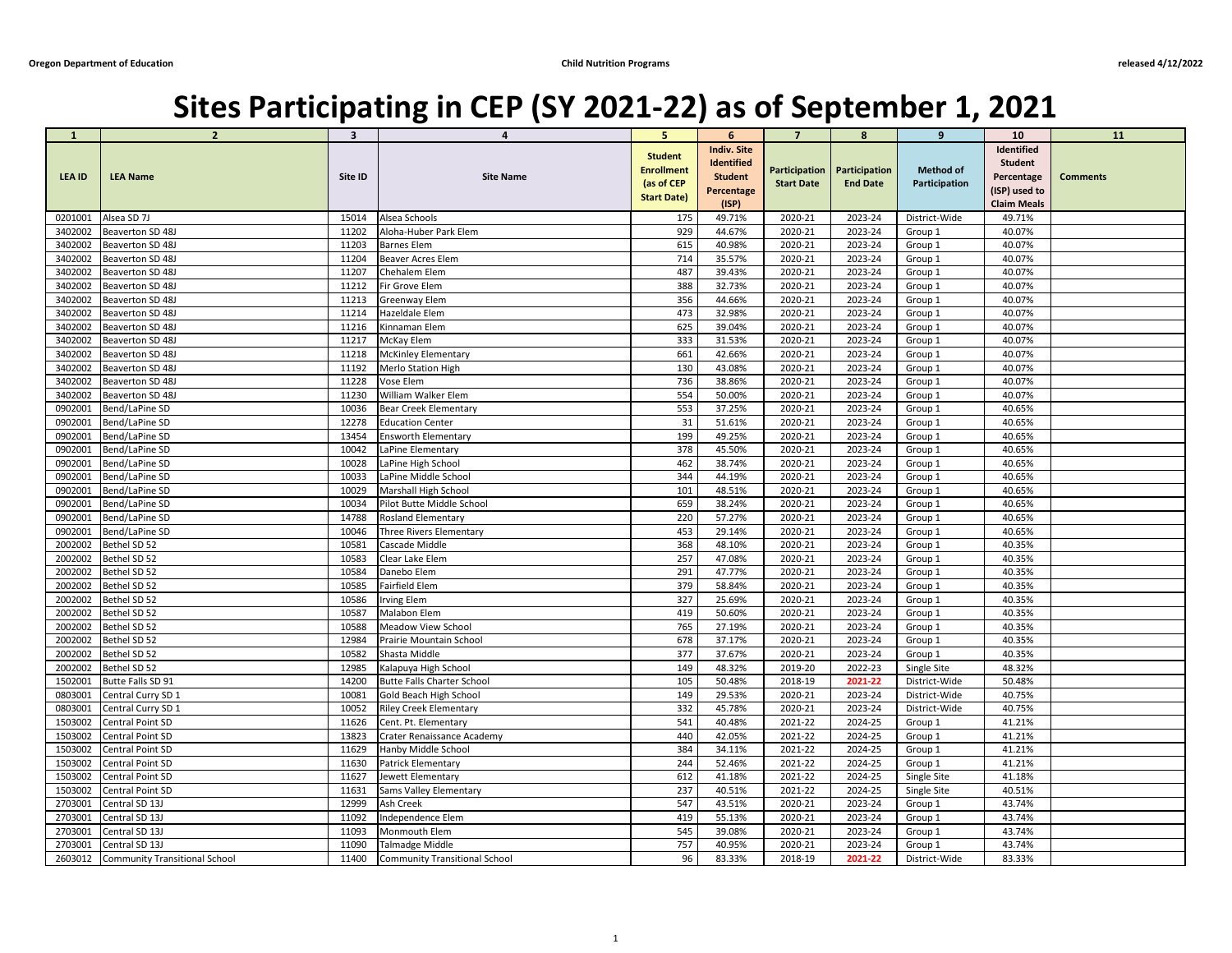## **Sites Participating in CEP (SY 2021-22) as of September 1, 2021**

| -1      | $\overline{2}$                | $\mathbf{3}$ | 4                                 | 5                                                                       | 6                                                                                       | $\overline{7}$    | 8                                                | 9                                 | <b>10</b>                                                                         | <b>11</b>       |
|---------|-------------------------------|--------------|-----------------------------------|-------------------------------------------------------------------------|-----------------------------------------------------------------------------------------|-------------------|--------------------------------------------------|-----------------------------------|-----------------------------------------------------------------------------------|-----------------|
| LEA ID  | <b>LEA Name</b>               | Site ID      | <b>Site Name</b>                  | <b>Student</b><br><b>Enrollment</b><br>(as of CEP<br><b>Start Date)</b> | <b>Indiv. Site</b><br><b>Identified</b><br><b>Student</b><br><b>Percentage</b><br>(ISP) | <b>Start Date</b> | Participation   Participation<br><b>End Date</b> | <b>Method of</b><br>Participation | Identified<br><b>Student</b><br>Percentage<br>(ISP) used to<br><b>Claim Meals</b> | <b>Comments</b> |
| 0201001 | Alsea SD 7J                   | 15014        | Alsea Schools                     | 175                                                                     | 49.71%                                                                                  | 2020-21           | 2023-24                                          | District-Wide                     | 49.71%                                                                            |                 |
| 3402002 | Beaverton SD 48J              | 11202        | Aloha-Huber Park Elem             | 929                                                                     | 44.67%                                                                                  | 2020-21           | 2023-24                                          | Group 1                           | 40.07%                                                                            |                 |
| 3402002 | Beaverton SD 48J              | 11203        | <b>Barnes Elem</b>                | 615                                                                     | 40.98%                                                                                  | 2020-21           | 2023-24                                          | Group 1                           | 40.07%                                                                            |                 |
| 3402002 | Beaverton SD 48J              | 11204        | <b>Beaver Acres Elem</b>          | 714                                                                     | 35.57%                                                                                  | 2020-21           | 2023-24                                          | Group 1                           | 40.07%                                                                            |                 |
| 3402002 | Beaverton SD 48J              | 11207        | Chehalem Elem                     | 487                                                                     | 39.43%                                                                                  | 2020-21           | 2023-24                                          | Group 1                           | 40.07%                                                                            |                 |
| 3402002 | Beaverton SD 48J              | 11212        | Fir Grove Elem                    | 388                                                                     | 32.73%                                                                                  | 2020-21           | 2023-24                                          | Group 1                           | 40.07%                                                                            |                 |
| 3402002 | Beaverton SD 48J              | 11213        | <b>Greenway Elem</b>              | 356                                                                     | 44.66%                                                                                  | 2020-21           | 2023-24                                          | Group 1                           | 40.07%                                                                            |                 |
| 3402002 | Beaverton SD 48J              | 11214        | Hazeldale Elem                    | 473                                                                     | 32.98%                                                                                  | 2020-21           | 2023-24                                          | Group 1                           | 40.07%                                                                            |                 |
| 3402002 | Beaverton SD 48J              | 11216        | Kinnaman Elem                     | 625                                                                     | 39.04%                                                                                  | 2020-21           | 2023-24                                          | Group 1                           | 40.07%                                                                            |                 |
| 3402002 | Beaverton SD 48J              | 11217        | McKay Elem                        | 333                                                                     | 31.53%                                                                                  | 2020-21           | 2023-24                                          | Group 1                           | 40.07%                                                                            |                 |
| 3402002 | Beaverton SD 48J              | 11218        | <b>McKinley Elementary</b>        | 661                                                                     | 42.66%                                                                                  | 2020-21           | 2023-24                                          | Group 1                           | 40.07%                                                                            |                 |
| 3402002 | Beaverton SD 48J              | 11192        | Merlo Station High                | 130                                                                     | 43.08%                                                                                  | 2020-21           | 2023-24                                          | Group 1                           | 40.07%                                                                            |                 |
| 3402002 | Beaverton SD 48J              | 11228        | Vose Elem                         | 736                                                                     | 38.86%                                                                                  | 2020-21           | 2023-24                                          | Group 1                           | 40.07%                                                                            |                 |
| 3402002 | Beaverton SD 48J              | 11230        | William Walker Elem               | 554                                                                     | 50.00%                                                                                  | 2020-21           | 2023-24                                          | Group 1                           | 40.07%                                                                            |                 |
| 0902001 | Bend/LaPine SD                | 10036        | <b>Bear Creek Elementary</b>      | 553                                                                     | 37.25%                                                                                  | 2020-21           | 2023-24                                          | Group 1                           | 40.65%                                                                            |                 |
| 0902001 | Bend/LaPine SD                | 12278        | <b>Education Center</b>           | 31                                                                      | 51.61%                                                                                  | 2020-21           | 2023-24                                          | Group 1                           | 40.65%                                                                            |                 |
| 0902001 | Bend/LaPine SD                | 13454        | <b>Ensworth Elementary</b>        | 199                                                                     | 49.25%                                                                                  | 2020-21           | 2023-24                                          | Group 1                           | 40.65%                                                                            |                 |
| 0902001 | Bend/LaPine SD                | 10042        | LaPine Elementary                 | 378                                                                     | 45.50%                                                                                  | 2020-21           | 2023-24                                          | Group 1                           | 40.65%                                                                            |                 |
| 0902001 | Bend/LaPine SD                | 10028        | LaPine High School                | 462                                                                     | 38.74%                                                                                  | 2020-21           | 2023-24                                          | Group 1                           | 40.65%                                                                            |                 |
| 0902001 | Bend/LaPine SD                | 10033        | LaPine Middle School              | 344                                                                     | 44.19%                                                                                  | 2020-21           | 2023-24                                          | Group 1                           | 40.65%                                                                            |                 |
| 0902001 | Bend/LaPine SD                | 10029        | Marshall High School              | 101                                                                     | 48.51%                                                                                  | 2020-21           | 2023-24                                          | Group 1                           | 40.65%                                                                            |                 |
| 0902001 | Bend/LaPine SD                | 10034        | Pilot Butte Middle School         | 659                                                                     | 38.24%                                                                                  | 2020-21           | 2023-24                                          | Group 1                           | 40.65%                                                                            |                 |
| 0902001 | Bend/LaPine SD                | 14788        | <b>Rosland Elementary</b>         | 220                                                                     | 57.27%                                                                                  | 2020-21           | 2023-24                                          | Group 1                           | 40.65%                                                                            |                 |
| 0902001 | Bend/LaPine SD                | 10046        | Three Rivers Elementary           | 453                                                                     | 29.14%                                                                                  | 2020-21           | 2023-24                                          | Group 1                           | 40.65%                                                                            |                 |
|         | 2002002  Bethel SD 52         | 10581        | Cascade Middle                    | 368                                                                     | 48.10%                                                                                  | 2020-21           | 2023-24                                          | Group 1                           | 40.35%                                                                            |                 |
| 2002002 | Bethel SD 52                  | 10583        | Clear Lake Elem                   | 257                                                                     | 47.08%                                                                                  | 2020-21           | 2023-24                                          | Group 1                           | 40.35%                                                                            |                 |
| 2002002 | Bethel SD 52                  | 10584        | Danebo Elem                       | 291                                                                     | 47.77%                                                                                  | 2020-21           | 2023-24                                          | Group 1                           | 40.35%                                                                            |                 |
| 2002002 | Bethel SD 52                  | 10585        | Fairfield Elem                    | 379                                                                     | 58.84%                                                                                  | 2020-21           | 2023-24                                          | Group 1                           | 40.35%                                                                            |                 |
| 2002002 | Bethel SD 52                  | 10586        | <b>Irving Elem</b>                | 327                                                                     | 25.69%                                                                                  | 2020-21           | 2023-24                                          | Group 1                           | 40.35%                                                                            |                 |
| 2002002 | Bethel SD 52                  | 10587        | Malabon Elem                      | 419                                                                     | 50.60%                                                                                  | 2020-21           | 2023-24                                          | Group 1                           | 40.35%                                                                            |                 |
| 2002002 | Bethel SD 52                  | 10588        | <b>Meadow View School</b>         | 765                                                                     | 27.19%                                                                                  | 2020-21           | 2023-24                                          | Group 1                           | 40.35%                                                                            |                 |
| 2002002 | Bethel SD 52                  | 12984        | Prairie Mountain School           | 678                                                                     | 37.17%                                                                                  | 2020-21           | 2023-24                                          | Group 1                           | 40.35%                                                                            |                 |
| 2002002 | Bethel SD 52                  | 10582        | Shasta Middle                     | 377                                                                     | 37.67%                                                                                  | 2020-21           | 2023-24                                          | Group 1                           | 40.35%                                                                            |                 |
| 2002002 | Bethel SD 52                  | 12985        | Kalapuya High School              | 149                                                                     | 48.32%                                                                                  | 2019-20           | 2022-23                                          | Single Site                       | 48.32%                                                                            |                 |
| 1502001 | Butte Falls SD 91             | 14200        | <b>Butte Falls Charter School</b> | 105                                                                     | 50.48%                                                                                  | 2018-19           | 2021-22                                          | District-Wide                     | 50.48%                                                                            |                 |
| 0803001 | Central Curry SD 1            | 10081        | <b>Gold Beach High School</b>     | 149                                                                     | 29.53%                                                                                  | 2020-21           | 2023-24                                          | District-Wide                     | 40.75%                                                                            |                 |
| 0803001 | Central Curry SD 1            | 10052        | <b>Riley Creek Elementary</b>     | 332                                                                     | 45.78%                                                                                  | 2020-21           | 2023-24                                          | District-Wide                     | 40.75%                                                                            |                 |
| 1503002 | Central Point SD              | 11626        | Cent. Pt. Elementary              | 541                                                                     | 40.48%                                                                                  | 2021-22           | 2024-25                                          | Group 1                           | 41.21%                                                                            |                 |
| 1503002 | Central Point SD              | 13823        | Crater Renaissance Academy        | 440                                                                     | 42.05%                                                                                  | 2021-22           | 2024-25                                          | Group 1                           | 41.21%                                                                            |                 |
| 1503002 | Central Point SD              | 11629        | Hanby Middle School               | 384                                                                     | 34.11%                                                                                  | 2021-22           | 2024-25                                          | Group 1                           | 41.21%                                                                            |                 |
| 1503002 | Central Point SD              | 11630        | <b>Patrick Elementary</b>         | 244                                                                     | 52.46%                                                                                  | 2021-22           | 2024-25                                          | Group 1                           | 41.21%                                                                            |                 |
| 1503002 | Central Point SD              | 11627        | Jewett Elementary                 | 612                                                                     | 41.18%                                                                                  | 2021-22           | 2024-25                                          | Single Site                       | 41.18%                                                                            |                 |
| 1503002 | Central Point SD              | 11631        | <b>Sams Valley Elementary</b>     | 237                                                                     | 40.51%                                                                                  | 2021-22           | 2024-25                                          | Single Site                       | 40.51%                                                                            |                 |
| 2703001 | Central SD 13J                | 12999        | Ash Creek                         | 547                                                                     | 43.51%                                                                                  | 2020-21           | 2023-24                                          | Group 1                           | 43.74%                                                                            |                 |
| 2703001 | Central SD 13J                | 11092        | Independence Elem                 | 419                                                                     | 55.13%                                                                                  | 2020-21           | 2023-24                                          | Group 1                           | 43.74%                                                                            |                 |
| 2703001 | Central SD 13J                | 11093        | Monmouth Elem                     | 545                                                                     | 39.08%                                                                                  | 2020-21           | 2023-24                                          | Group 1                           | 43.74%                                                                            |                 |
| 2703001 | Central SD 13J                | 11090        | Talmadge Middle                   | 757                                                                     | 40.95%                                                                                  | 2020-21           | 2023-24                                          | Group 1                           | 43.74%                                                                            |                 |
| 2603012 | Community Transitional School | 11400        | Community Transitional School     | 96                                                                      | 83.33%                                                                                  | 2018-19           | 2021-22                                          | District-Wide                     | 83.33%                                                                            |                 |
|         |                               |              |                                   |                                                                         |                                                                                         |                   |                                                  |                                   |                                                                                   |                 |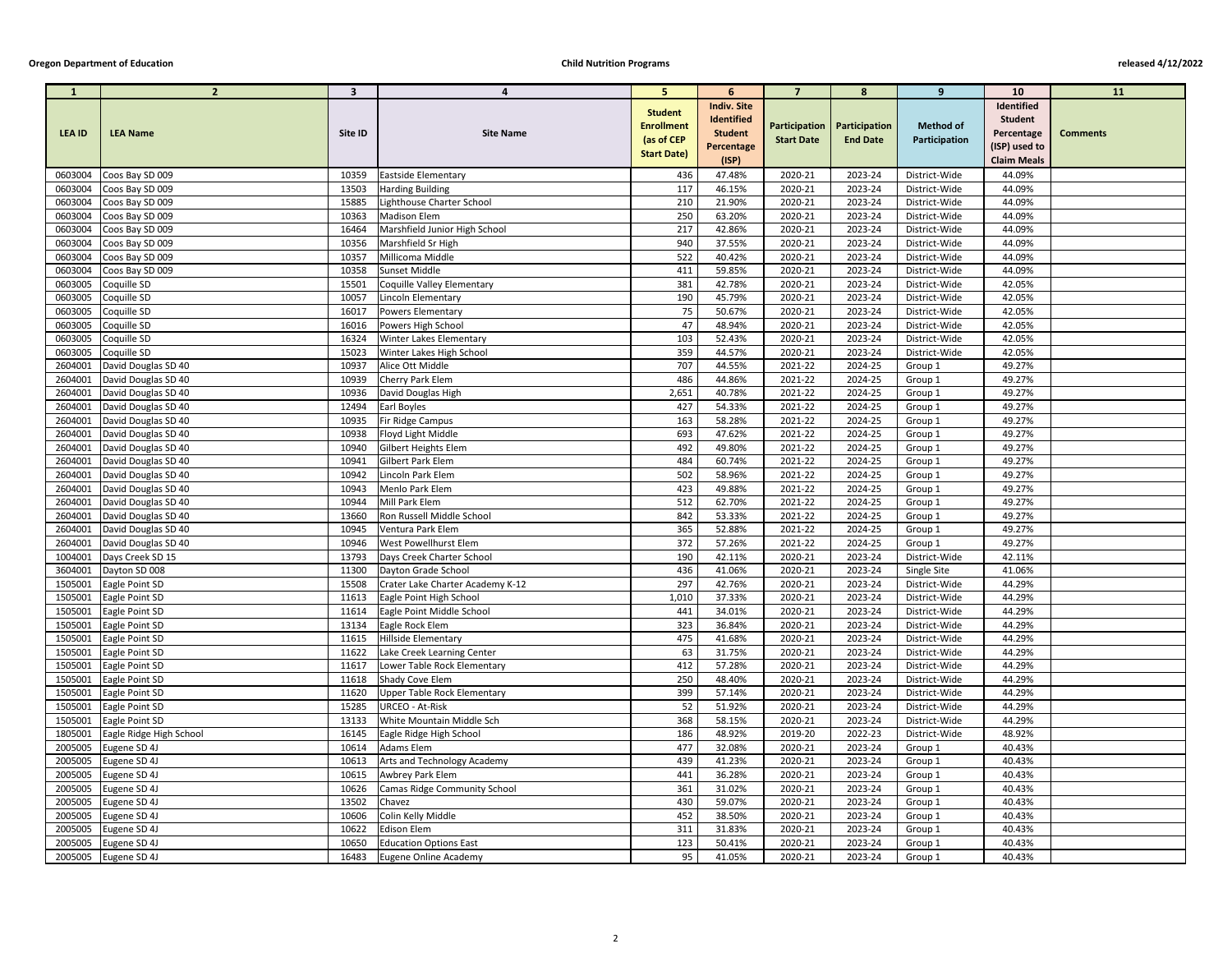## **Oregon Department of Education Child Nutrition Programs released 4/12/2022**

| $\mathbf{1}$       | $\overline{2}$                     | $\mathbf{3}$   | $\boldsymbol{4}$                              | 5 <sup>5</sup>     | 6                  | $\overline{7}$     | 8                             | 9                              | <b>10</b>          | <b>11</b>       |
|--------------------|------------------------------------|----------------|-----------------------------------------------|--------------------|--------------------|--------------------|-------------------------------|--------------------------------|--------------------|-----------------|
|                    |                                    |                |                                               | <b>Student</b>     | <b>Indiv. Site</b> |                    |                               |                                | <b>Identified</b>  |                 |
|                    |                                    |                |                                               | <b>Enrollment</b>  | <b>Identified</b>  |                    | Participation   Participation | <b>Method of</b>               | <b>Student</b>     |                 |
| <b>LEA ID</b>      | <b>LEA Name</b>                    | Site ID        | <b>Site Name</b>                              | (as of CEP         | <b>Student</b>     | <b>Start Date</b>  | <b>End Date</b>               | Participation                  | Percentage         | <b>Comments</b> |
|                    |                                    |                |                                               | <b>Start Date)</b> | Percentage         |                    |                               |                                | (ISP) used to      |                 |
|                    |                                    |                |                                               |                    | (ISP)              |                    |                               |                                | <b>Claim Meals</b> |                 |
| 0603004            | Coos Bay SD 009                    | 10359          | <b>Eastside Elementary</b>                    | 436                | 47.48%             | 2020-21            | 2023-24                       | District-Wide                  | 44.09%             |                 |
| 0603004            | Coos Bay SD 009                    | 13503          | <b>Harding Building</b>                       | 117                | 46.15%             | 2020-21            | 2023-24                       | District-Wide                  | 44.09%             |                 |
| 0603004            | Coos Bay SD 009                    | 15885          | Lighthouse Charter School                     | 210                | 21.90%             | 2020-21            | 2023-24                       | District-Wide                  | 44.09%             |                 |
| 0603004            | Coos Bay SD 009                    | 10363          | <b>Madison Elem</b>                           | 250                | 63.20%             | 2020-21            | 2023-24                       | District-Wide                  | 44.09%             |                 |
| 0603004<br>0603004 | Coos Bay SD 009                    | 16464<br>10356 | Marshfield Junior High School                 | 217<br>940         | 42.86%<br>37.55%   | 2020-21<br>2020-21 | 2023-24<br>2023-24            | District-Wide                  | 44.09%<br>44.09%   |                 |
| 0603004            | Coos Bay SD 009<br>Coos Bay SD 009 | 10357          | Marshfield Sr High<br>Millicoma Middle        | 522                | 40.42%             | 2020-21            | 2023-24                       | District-Wide<br>District-Wide | 44.09%             |                 |
| 0603004            | Coos Bay SD 009                    | 10358          | Sunset Middle                                 | 411                | 59.85%             | 2020-21            | 2023-24                       | District-Wide                  | 44.09%             |                 |
| 0603005            | Coquille SD                        | 15501          | Coquille Valley Elementary                    | 381                | 42.78%             | 2020-21            | 2023-24                       | District-Wide                  | 42.05%             |                 |
| 0603005            | Coquille SD                        | 10057          | Lincoln Elementary                            | 190                | 45.79%             | 2020-21            | 2023-24                       | District-Wide                  | 42.05%             |                 |
| 0603005            | Coquille SD                        | 16017          | <b>Powers Elementary</b>                      | 75                 | 50.67%             | 2020-21            | 2023-24                       | District-Wide                  | 42.05%             |                 |
| 0603005            | Coquille SD                        | 16016          | Powers High School                            | 47                 | 48.94%             | 2020-21            | 2023-24                       | District-Wide                  | 42.05%             |                 |
| 0603005            | Coquille SD                        | 16324          | Winter Lakes Elementary                       | 103                | 52.43%             | 2020-21            | 2023-24                       | District-Wide                  | 42.05%             |                 |
| 0603005            | Coquille SD                        | 15023          | Winter Lakes High School                      | 359                | 44.57%             | 2020-21            | 2023-24                       | District-Wide                  | 42.05%             |                 |
| 2604001            | David Douglas SD 40                | 10937          | Alice Ott Middle                              | 707                | 44.55%             | 2021-22            | 2024-25                       | Group 1                        | 49.27%             |                 |
| 2604001            | David Douglas SD 40                | 10939          | Cherry Park Elem                              | 486                | 44.86%             | 2021-22            | 2024-25                       | Group 1                        | 49.27%             |                 |
| 2604001            | David Douglas SD 40                | 10936          | David Douglas High                            | 2,651              | 40.78%             | 2021-22            | 2024-25                       | Group 1                        | 49.27%             |                 |
| 2604001            | David Douglas SD 40                | 12494          | Earl Boyles                                   | 427                | 54.33%             | 2021-22            | 2024-25                       | Group 1                        | 49.27%             |                 |
| 2604001            | David Douglas SD 40                | 10935          | Fir Ridge Campus                              | 163                | 58.28%             | 2021-22            | 2024-25                       | Group 1                        | 49.27%             |                 |
| 2604001            | David Douglas SD 40                | 10938          | Floyd Light Middle                            | 693                | 47.62%             | 2021-22            | 2024-25                       | Group 1                        | 49.27%             |                 |
| 2604001            | David Douglas SD 40                | 10940          | Gilbert Heights Elem                          | 492                | 49.80%             | 2021-22            | 2024-25                       | Group 1                        | 49.27%             |                 |
| 2604001            | David Douglas SD 40                | 10941          | Gilbert Park Elem                             | 484                | 60.74%             | 2021-22            | 2024-25                       | Group 1                        | 49.27%             |                 |
| 2604001            | David Douglas SD 40                | 10942          | Lincoln Park Elem                             | 502                | 58.96%             | 2021-22            | 2024-25                       | Group 1                        | 49.27%             |                 |
| 2604001            | David Douglas SD 40                | 10943          | Menlo Park Elem                               | 423                | 49.88%             | 2021-22            | 2024-25                       | Group 1                        | 49.27%             |                 |
| 2604001            | David Douglas SD 40                | 10944          | Mill Park Elem                                | 512                | 62.70%             | 2021-22            | 2024-25                       | Group 1                        | 49.27%             |                 |
|                    | 2604001 David Douglas SD 40        | 13660          | Ron Russell Middle School                     | 842                | 53.33%             | 2021-22            | 2024-25                       | Group 1                        | 49.27%             |                 |
| 2604001            | David Douglas SD 40                | 10945          | Ventura Park Elem                             | 365                | 52.88%             | 2021-22            | 2024-25                       | Group 1                        | 49.27%             |                 |
| 2604001            | David Douglas SD 40                | 10946          | West Powellhurst Elem                         | 372                | 57.26%             | 2021-22            | 2024-25                       | Group 1                        | 49.27%             |                 |
| 1004001            | Days Creek SD 15                   | 13793          | Days Creek Charter School                     | 190                | 42.11%             | 2020-21            | 2023-24                       | District-Wide                  | 42.11%             |                 |
| 3604001            | Dayton SD 008                      | 11300          | Dayton Grade School                           | 436                | 41.06%             | 2020-21            | 2023-24                       | Single Site                    | 41.06%             |                 |
| 1505001            | Eagle Point SD                     | 15508          | Crater Lake Charter Academy K-12              | 297                | 42.76%             | 2020-21            | 2023-24                       | District-Wide                  | 44.29%             |                 |
| 1505001            | Eagle Point SD                     | 11613          | Eagle Point High School                       | 1,010              | 37.33%             | 2020-21            | 2023-24                       | District-Wide                  | 44.29%             |                 |
| 1505001            | Eagle Point SD                     | 11614          | Eagle Point Middle School                     | 441                | 34.01%             | 2020-21            | 2023-24                       | District-Wide                  | 44.29%             |                 |
| 1505001<br>1505001 | Eagle Point SD<br>Eagle Point SD   | 13134<br>11615 | Eagle Rock Elem<br><b>Hillside Elementary</b> | 323<br>475         | 36.84%<br>41.68%   | 2020-21<br>2020-21 | 2023-24<br>2023-24            | District-Wide<br>District-Wide | 44.29%<br>44.29%   |                 |
| 1505001            | Eagle Point SD                     | 11622          | Lake Creek Learning Center                    | 63                 | 31.75%             | 2020-21            | 2023-24                       | District-Wide                  | 44.29%             |                 |
| 1505001            | Eagle Point SD                     | 11617          | Lower Table Rock Elementary                   | 412                | 57.28%             | 2020-21            | 2023-24                       | District-Wide                  | 44.29%             |                 |
| 1505001            | Eagle Point SD                     | 11618          | Shady Cove Elem                               | 250                | 48.40%             | 2020-21            | 2023-24                       | District-Wide                  | 44.29%             |                 |
| 1505001            | Eagle Point SD                     | 11620          | Upper Table Rock Elementary                   | 399                | 57.14%             | 2020-21            | 2023-24                       | District-Wide                  | 44.29%             |                 |
| 1505001            | Eagle Point SD                     | 15285          | <b>URCEO - At-Risk</b>                        | 52                 | 51.92%             | 2020-21            | 2023-24                       | District-Wide                  | 44.29%             |                 |
| 1505001            | Eagle Point SD                     | 13133          | White Mountain Middle Sch                     | 368                | 58.15%             | 2020-21            | 2023-24                       | District-Wide                  | 44.29%             |                 |
| 1805001            | Eagle Ridge High School            | 16145          | Eagle Ridge High School                       | 186                | 48.92%             | 2019-20            | 2022-23                       | District-Wide                  | 48.92%             |                 |
| 2005005            | Eugene SD 4J                       | 10614          | Adams Elem                                    | 477                | 32.08%             | 2020-21            | 2023-24                       | Group 1                        | 40.43%             |                 |
| 2005005            | Eugene SD 4J                       | 10613          | Arts and Technology Academy                   | 439                | 41.23%             | 2020-21            | 2023-24                       | Group 1                        | 40.43%             |                 |
| 2005005            | Eugene SD 4J                       | 10615          | Awbrey Park Elem                              | 441                | 36.28%             | 2020-21            | 2023-24                       | Group 1                        | 40.43%             |                 |
| 2005005            | Eugene SD 4J                       | 10626          | Camas Ridge Community School                  | 361                | 31.02%             | 2020-21            | 2023-24                       | Group 1                        | 40.43%             |                 |
| 2005005            | Eugene SD 4J                       | 13502          | Chavez                                        | 430                | 59.07%             | 2020-21            | 2023-24                       | Group 1                        | 40.43%             |                 |
| 2005005            | Eugene SD 4J                       | 10606          | Colin Kelly Middle                            | 452                | 38.50%             | 2020-21            | 2023-24                       | Group 1                        | 40.43%             |                 |
| 2005005            | Eugene SD 4J                       | 10622          | <b>Edison Elem</b>                            | 311                | 31.83%             | 2020-21            | 2023-24                       | Group 1                        | 40.43%             |                 |
| 2005005            | Eugene SD 4J                       | 10650          | <b>Education Options East</b>                 | 123                | 50.41%             | 2020-21            | 2023-24                       | Group 1                        | 40.43%             |                 |
| 2005005            | Eugene SD 4J                       | 16483          | Eugene Online Academy                         | 95                 | 41.05%             | 2020-21            | 2023-24                       | Group 1                        | 40.43%             |                 |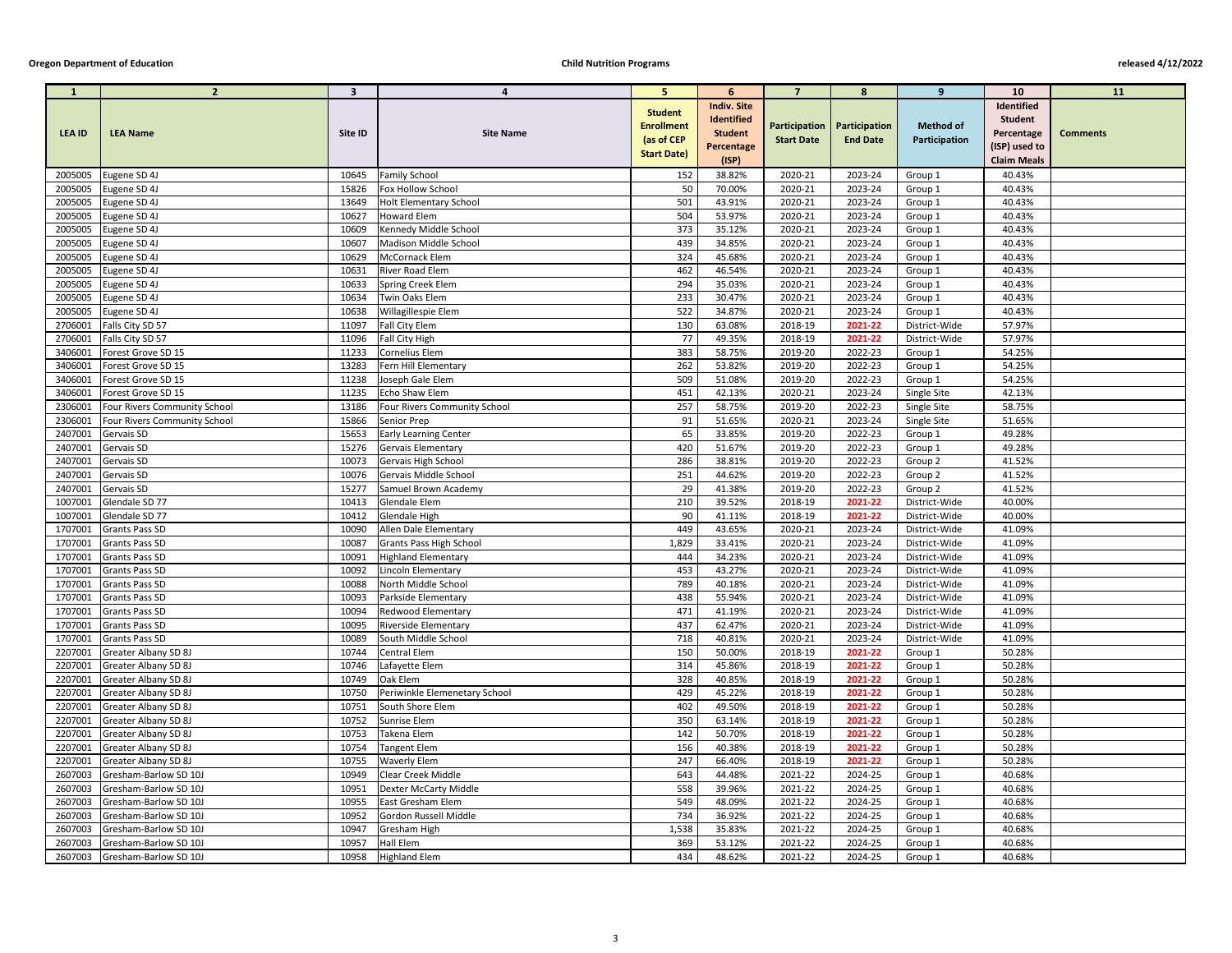## **Oregon Department of Education Child Nutrition Programs released 4/12/2022**

| $\mathbf{1}$       | $\overline{2}$                                      | $\overline{\mathbf{3}}$ | $\overline{a}$                             | 5 <sup>5</sup>                                                          | 6                                                                                       | $\overline{7}$     | 8                                                | 9                                 | <b>10</b>                                                                         | <b>11</b>       |
|--------------------|-----------------------------------------------------|-------------------------|--------------------------------------------|-------------------------------------------------------------------------|-----------------------------------------------------------------------------------------|--------------------|--------------------------------------------------|-----------------------------------|-----------------------------------------------------------------------------------|-----------------|
| <b>LEA ID</b>      | <b>LEA Name</b>                                     | Site ID                 | <b>Site Name</b>                           | <b>Student</b><br><b>Enrollment</b><br>(as of CEP<br><b>Start Date)</b> | <b>Indiv. Site</b><br><b>Identified</b><br><b>Student</b><br><b>Percentage</b><br>(ISP) | <b>Start Date</b>  | Participation   Participation<br><b>End Date</b> | <b>Method of</b><br>Participation | Identified<br><b>Student</b><br>Percentage<br>(ISP) used to<br><b>Claim Meals</b> | <b>Comments</b> |
| 2005005            | Eugene SD 4J                                        | 10645                   | <b>Family School</b>                       | 152                                                                     | 38.82%                                                                                  | 2020-21            | 2023-24                                          | Group 1                           | 40.43%                                                                            |                 |
| 2005005            | Eugene SD 4J                                        | 15826                   | Fox Hollow School                          | 50                                                                      | 70.00%                                                                                  | 2020-21            | 2023-24                                          | Group 1                           | 40.43%                                                                            |                 |
| 2005005            | Eugene SD 4J                                        | 13649                   | <b>Holt Elementary School</b>              | 501                                                                     | 43.91%                                                                                  | 2020-21            | 2023-24                                          | Group 1                           | 40.43%                                                                            |                 |
| 2005005            | Eugene SD 4J                                        | 10627                   | <b>Howard Elem</b>                         | 504                                                                     | 53.97%                                                                                  | 2020-21            | 2023-24                                          | Group 1                           | 40.43%                                                                            |                 |
| 2005005            | Eugene SD 4J                                        | 10609                   | Kennedy Middle School                      | 373                                                                     | 35.12%                                                                                  | 2020-21            | 2023-24                                          | Group 1                           | 40.43%                                                                            |                 |
| 2005005            | Eugene SD 4J                                        | 10607                   | <b>Madison Middle School</b>               | 439                                                                     | 34.85%                                                                                  | 2020-21            | 2023-24                                          | Group 1                           | 40.43%                                                                            |                 |
| 2005005            | Eugene SD 4J                                        | 10629                   | McCornack Elem                             | 324                                                                     | 45.68%                                                                                  | 2020-21            | 2023-24                                          | Group 1                           | 40.43%                                                                            |                 |
| 2005005            | Eugene SD 4J                                        | 10631                   | River Road Elem                            | 462                                                                     | 46.54%                                                                                  | 2020-21            | 2023-24                                          | Group 1                           | 40.43%                                                                            |                 |
| 2005005            | Eugene SD 4J                                        | 10633                   | <b>Spring Creek Elem</b>                   | 294                                                                     | 35.03%                                                                                  | 2020-21            | 2023-24                                          | Group 1                           | 40.43%                                                                            |                 |
| 2005005            | Eugene SD 4J                                        | 10634                   | <b>Twin Oaks Elem</b>                      | 233                                                                     | 30.47%                                                                                  | 2020-21            | 2023-24                                          | Group 1                           | 40.43%                                                                            |                 |
| 2005005            | Eugene SD 4J                                        | 10638                   | Willagillespie Elem                        | 522                                                                     | 34.87%                                                                                  | 2020-21            | 2023-24                                          | Group 1                           | 40.43%                                                                            |                 |
| 2706001            | Falls City SD 57                                    | 11097                   | Fall City Elem                             | 130                                                                     | 63.08%                                                                                  | 2018-19            | 2021-22                                          | District-Wide                     | 57.97%                                                                            |                 |
| 2706001            | Falls City SD 57                                    | 11096                   | Fall City High                             | 77                                                                      | 49.35%                                                                                  | 2018-19            | 2021-22                                          | District-Wide                     | 57.97%                                                                            |                 |
| 3406001            | Forest Grove SD 15                                  | 11233                   | Cornelius Elem                             | 383                                                                     | 58.75%                                                                                  | 2019-20            | 2022-23                                          | Group 1                           | 54.25%                                                                            |                 |
| 3406001            | Forest Grove SD 15                                  | 13283                   | Fern Hill Elementary                       | 262                                                                     | 53.82%                                                                                  | 2019-20            | 2022-23                                          | Group 1                           | 54.25%                                                                            |                 |
| 3406001            | Forest Grove SD 15                                  | 11238                   | Joseph Gale Elem                           | 509                                                                     | 51.08%                                                                                  | 2019-20            | 2022-23                                          | Group 1                           | 54.25%                                                                            |                 |
| 3406001            | Forest Grove SD 15                                  | 11235                   | Echo Shaw Elem                             | 451                                                                     | 42.13%                                                                                  | 2020-21            | 2023-24                                          | Single Site                       | 42.13%                                                                            |                 |
| 2306001            | Four Rivers Community School                        | 13186                   | Four Rivers Community School               | 257                                                                     | 58.75%                                                                                  | 2019-20            | 2022-23                                          | Single Site                       | 58.75%                                                                            |                 |
| 2306001            | <b>Four Rivers Community School</b>                 | 15866                   | Senior Prep                                | 91                                                                      | 51.65%                                                                                  | 2020-21            | 2023-24                                          | Single Site                       | 51.65%                                                                            |                 |
| 2407001            | Gervais SD                                          | 15653                   | <b>Early Learning Center</b>               | 65                                                                      | 33.85%                                                                                  | 2019-20            | 2022-23                                          | Group 1                           | 49.28%                                                                            |                 |
| 2407001            | Gervais SD                                          | 15276                   | Gervais Elementary                         | 420                                                                     | 51.67%                                                                                  | 2019-20            | 2022-23                                          | Group 1                           | 49.28%                                                                            |                 |
| 2407001            | Gervais SD                                          | 10073                   | Gervais High School                        | 286                                                                     | 38.81%                                                                                  | 2019-20            | 2022-23                                          | Group 2                           | 41.52%                                                                            |                 |
| 2407001            | Gervais SD                                          | 10076                   | Gervais Middle School                      | 251                                                                     | 44.62%                                                                                  | 2019-20            | 2022-23                                          | Group 2                           | 41.52%                                                                            |                 |
| 2407001            | Gervais SD                                          | 15277                   | Samuel Brown Academy                       | 29                                                                      | 41.38%                                                                                  | 2019-20            | 2022-23                                          | Group 2                           | 41.52%                                                                            |                 |
| 1007001            | Glendale SD 77                                      | 10413                   | Glendale Elem                              | 210                                                                     | 39.52%                                                                                  | 2018-19            | 2021-22                                          | District-Wide                     | 40.00%                                                                            |                 |
|                    | 1007001 Glendale SD 77                              | 10412                   | Glendale High                              | 90                                                                      | 41.11%                                                                                  | 2018-19            | 2021-22                                          | District-Wide                     | 40.00%                                                                            |                 |
| 1707001            | <b>Grants Pass SD</b>                               | 10090                   | Allen Dale Elementary                      | 449                                                                     | 43.65%                                                                                  | 2020-21            | 2023-24                                          | District-Wide                     | 41.09%                                                                            |                 |
| 1707001            | <b>Grants Pass SD</b>                               | 10087                   | <b>Grants Pass High School</b>             | 1,829                                                                   | 33.41%                                                                                  | 2020-21            | 2023-24                                          | District-Wide                     | 41.09%                                                                            |                 |
| 1707001            | <b>Grants Pass SD</b>                               | 10091                   | <b>Highland Elementary</b>                 | 444                                                                     | 34.23%                                                                                  | 2020-21            | 2023-24                                          | District-Wide                     | 41.09%                                                                            |                 |
| 1707001            | <b>Grants Pass SD</b>                               | 10092                   | Lincoln Elementary                         | 453                                                                     | 43.27%                                                                                  | 2020-21            | 2023-24                                          | District-Wide                     | 41.09%                                                                            |                 |
| 1707001            | <b>Grants Pass SD</b>                               | 10088                   | North Middle School                        | 789                                                                     | 40.18%                                                                                  | 2020-21            | 2023-24                                          | District-Wide                     | 41.09%                                                                            |                 |
| 1707001            | <b>Grants Pass SD</b>                               | 10093                   | Parkside Elementary                        | 438                                                                     | 55.94%                                                                                  | 2020-21            | 2023-24                                          | District-Wide                     | 41.09%                                                                            |                 |
| 1707001            | <b>Grants Pass SD</b>                               | 10094                   | <b>Redwood Elementary</b>                  | 471                                                                     | 41.19%                                                                                  | 2020-21            | 2023-24                                          | District-Wide                     | 41.09%                                                                            |                 |
| 1707001            | <b>Grants Pass SD</b>                               | 10095                   | <b>Riverside Elementary</b>                | 437                                                                     | 62.47%                                                                                  | 2020-21            | 2023-24                                          | District-Wide                     | 41.09%                                                                            |                 |
| 1707001            | Grants Pass SD                                      | 10089                   | South Middle School                        | 718                                                                     | 40.81%                                                                                  | 2020-21            | 2023-24                                          | District-Wide                     | 41.09%                                                                            |                 |
| 2207001            | Greater Albany SD 8J                                | 10744                   | Central Elem                               | 150                                                                     | 50.00%                                                                                  | 2018-19            | 2021-22                                          | Group 1                           | 50.28%                                                                            |                 |
| 2207001            | Greater Albany SD 8J                                | 10746                   | Lafayette Elem                             | 314                                                                     | 45.86%                                                                                  | 2018-19            | 2021-22                                          | Group 1                           | 50.28%                                                                            |                 |
| 2207001            | Greater Albany SD 8J                                | 10749                   | Oak Elem                                   | 328                                                                     | 40.85%                                                                                  | 2018-19            | 2021-22                                          | Group 1                           | 50.28%                                                                            |                 |
| 2207001            | Greater Albany SD 8J                                | 10750                   | Periwinkle Elemenetary School              | 429                                                                     | 45.22%                                                                                  | 2018-19            | 2021-22                                          | Group 1                           | 50.28%                                                                            |                 |
| 2207001            | Greater Albany SD 8J                                | 10751                   | South Shore Elem                           | 402                                                                     | 49.50%                                                                                  | 2018-19            | 2021-22                                          | Group 1                           | 50.28%                                                                            |                 |
| 2207001<br>2207001 | Greater Albany SD 8J                                | 10752                   | Sunrise Elem                               | 350                                                                     | 63.14%<br>50.70%                                                                        | 2018-19<br>2018-19 | 2021-22<br>2021-22                               | Group 1                           | 50.28%<br>50.28%                                                                  |                 |
|                    | <b>Greater Albany SD 8J</b>                         | 10753                   | Takena Elem                                | 142                                                                     |                                                                                         |                    |                                                  | Group 1                           |                                                                                   |                 |
| 2207001<br>2207001 | <b>Greater Albany SD 8J</b><br>Greater Albany SD 8J | 10754<br>10755          | <b>Tangent Elem</b><br><b>Waverly Elem</b> | 156<br>247                                                              | 40.38%<br>66.40%                                                                        | 2018-19<br>2018-19 | 2021-22<br>2021-22                               | Group 1<br>Group 1                | 50.28%<br>50.28%                                                                  |                 |
| 2607003            | Gresham-Barlow SD 10J                               | 10949                   | Clear Creek Middle                         | 643                                                                     | 44.48%                                                                                  | 2021-22            | 2024-25                                          | Group 1                           | 40.68%                                                                            |                 |
| 2607003            | Gresham-Barlow SD 10J                               | 10951                   | <b>Dexter McCarty Middle</b>               | 558                                                                     | 39.96%                                                                                  | 2021-22            | 2024-25                                          | Group 1                           | 40.68%                                                                            |                 |
| 2607003            | Gresham-Barlow SD 10J                               | 10955                   | East Gresham Elem                          | 549                                                                     | 48.09%                                                                                  | 2021-22            | 2024-25                                          | Group 1                           | 40.68%                                                                            |                 |
| 2607003            | Gresham-Barlow SD 10J                               | 10952                   | Gordon Russell Middle                      | 734                                                                     | 36.92%                                                                                  | 2021-22            | 2024-25                                          | Group 1                           | 40.68%                                                                            |                 |
| 2607003            | Gresham-Barlow SD 10J                               | 10947                   | <b>Gresham High</b>                        | 1,538                                                                   | 35.83%                                                                                  | 2021-22            | 2024-25                                          | Group 1                           | 40.68%                                                                            |                 |
| 2607003            | Gresham-Barlow SD 10J                               | 10957                   | Hall Elem                                  | 369                                                                     | 53.12%                                                                                  | 2021-22            | 2024-25                                          | Group 1                           | 40.68%                                                                            |                 |
| 2607003            | Gresham-Barlow SD 10J                               | 10958                   | <b>Highland Elem</b>                       | 434                                                                     | 48.62%                                                                                  | 2021-22            | 2024-25                                          | Group 1                           | 40.68%                                                                            |                 |
|                    |                                                     |                         |                                            |                                                                         |                                                                                         |                    |                                                  |                                   |                                                                                   |                 |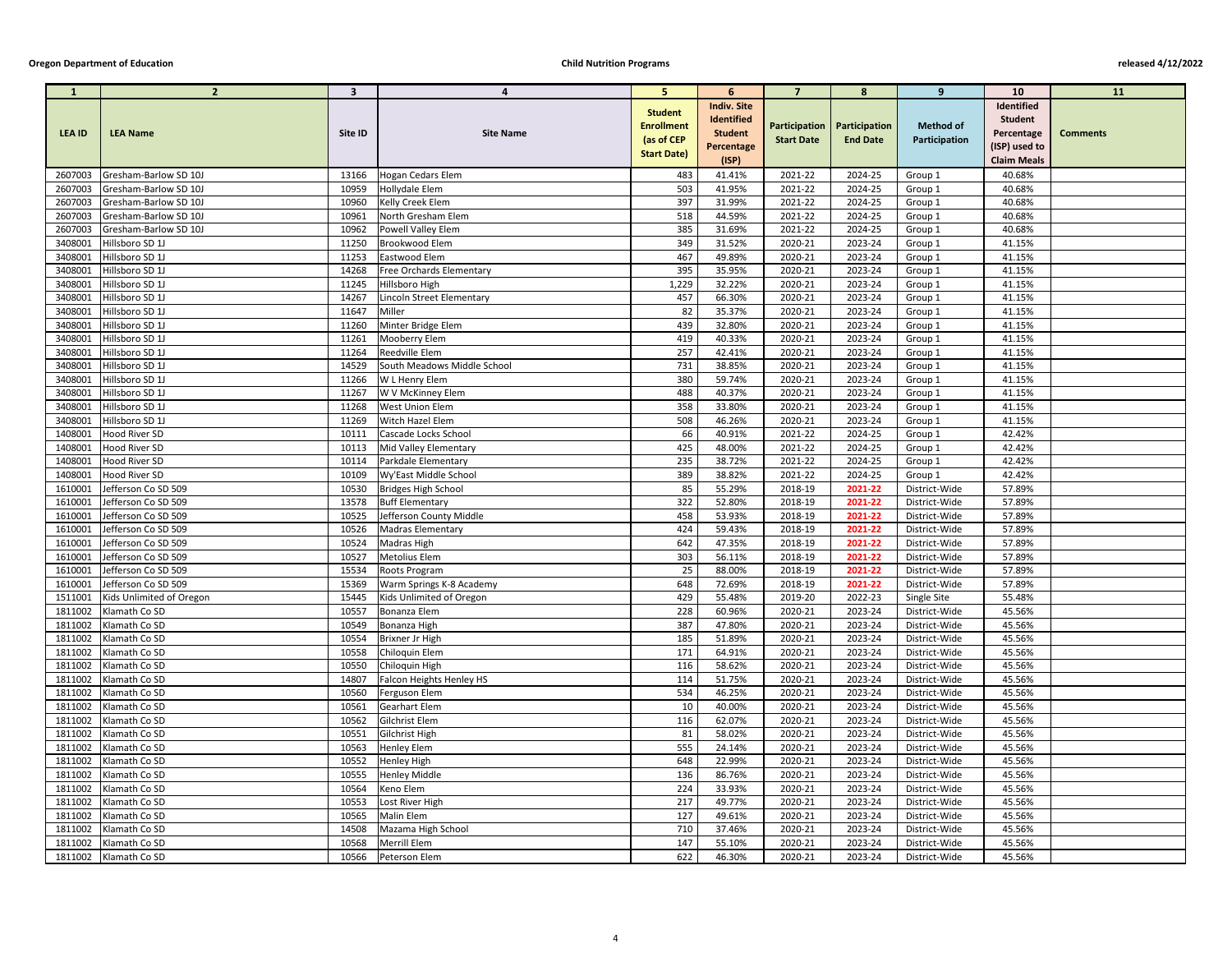| $\mathbf{1}$       | 2 <sup>2</sup>                 | $\overline{\mathbf{3}}$ | 4                                                   | 5 <sup>1</sup>                      | 6                  | $\overline{7}$     | $8\phantom{1}$                                   | $9^{\circ}$              | <b>10</b>          | <b>11</b>       |
|--------------------|--------------------------------|-------------------------|-----------------------------------------------------|-------------------------------------|--------------------|--------------------|--------------------------------------------------|--------------------------|--------------------|-----------------|
|                    |                                |                         |                                                     |                                     | <b>Indiv. Site</b> |                    |                                                  |                          | Identified         |                 |
|                    |                                |                         |                                                     | <b>Student</b><br><b>Enrollment</b> | Identified         |                    |                                                  | <b>Method of</b>         | <b>Student</b>     |                 |
| <b>LEA ID</b>      | <b>LEA Name</b>                | Site ID                 | <b>Site Name</b>                                    | (as of CEP                          | <b>Student</b>     | <b>Start Date</b>  | Participation   Participation<br><b>End Date</b> | Participation            | Percentage         | <b>Comments</b> |
|                    |                                |                         |                                                     | <b>Start Date)</b>                  | Percentage         |                    |                                                  |                          | (ISP) used to      |                 |
|                    |                                |                         |                                                     |                                     | (ISP)              |                    |                                                  |                          | <b>Claim Meals</b> |                 |
| 2607003            | Gresham-Barlow SD 10J          | 13166                   | <b>Hogan Cedars Elem</b>                            | 483                                 | 41.41%             | 2021-22            | 2024-25                                          | Group 1                  | 40.68%             |                 |
| 2607003            | Gresham-Barlow SD 10J          | 10959                   | Hollydale Elem                                      | 503                                 | 41.95%             | 2021-22            | 2024-25                                          | Group 1                  | 40.68%             |                 |
| 2607003            | Gresham-Barlow SD 10J          | 10960                   | <b>Kelly Creek Elem</b>                             | 397                                 | 31.99%             | 2021-22            | 2024-25                                          | Group 1                  | 40.68%             |                 |
| 2607003            | Gresham-Barlow SD 10J          | 10961                   | North Gresham Elem                                  | 518                                 | 44.59%             | 2021-22            | 2024-25                                          | Group 1                  | 40.68%             |                 |
| 2607003            | Gresham-Barlow SD 10J          | 10962                   | Powell Valley Elem                                  | 385                                 | 31.69%             | 2021-22            | 2024-25                                          | Group 1                  | 40.68%             |                 |
| 3408001            | Hillsboro SD 1J                | 11250                   | Brookwood Elem                                      | 349                                 | 31.52%             | 2020-21            | 2023-24                                          | Group 1                  | 41.15%             |                 |
| 3408001            | Hillsboro SD 1J                | 11253                   | Eastwood Elem                                       | 467                                 | 49.89%             | 2020-21            | 2023-24                                          | Group 1                  | 41.15%             |                 |
| 3408001            | Hillsboro SD 1J                | 14268                   | <b>Free Orchards Elementary</b>                     | 395                                 | 35.95%             | 2020-21            | 2023-24                                          | Group 1                  | 41.15%             |                 |
| 3408001            | Hillsboro SD 1J                | 11245                   | Hillsboro High                                      | 1,229                               | 32.22%             | 2020-21            | 2023-24                                          | Group 1                  | 41.15%             |                 |
| 3408001            | Hillsboro SD 1J                | 14267                   | Lincoln Street Elementary                           | 457                                 | 66.30%             | 2020-21            | 2023-24                                          | Group 1                  | 41.15%             |                 |
| 3408001            | Hillsboro SD 1J                | 11647                   | Miller                                              | 82                                  | 35.37%             | 2020-21            | 2023-24                                          | Group 1                  | 41.15%             |                 |
| 3408001            | Hillsboro SD 1J                | 11260                   | Minter Bridge Elem                                  | 439                                 | 32.80%             | 2020-21            | 2023-24                                          | Group 1                  | 41.15%             |                 |
| 3408001            | Hillsboro SD 1J                | 11261                   | Mooberry Elem                                       | 419                                 | 40.33%             | 2020-21            | 2023-24                                          | Group 1                  | 41.15%             |                 |
| 3408001            | Hillsboro SD 1J                | 11264                   | Reedville Elem                                      | 257                                 | 42.41%             | 2020-21            | 2023-24                                          | Group 1                  | 41.15%             |                 |
| 3408001            | Hillsboro SD 1J                | 14529                   | South Meadows Middle School                         | 731                                 | 38.85%             | 2020-21            | 2023-24                                          | Group 1                  | 41.15%             |                 |
| 3408001            | Hillsboro SD 1J                | 11266                   | W L Henry Elem                                      | 380                                 | 59.74%             | 2020-21            | 2023-24                                          | Group 1                  | 41.15%             |                 |
| 3408001            | Hillsboro SD 1J                | 11267                   | W V McKinney Elem                                   | 488                                 | 40.37%             | 2020-21            | 2023-24                                          | Group 1                  | 41.15%             |                 |
| 3408001            | Hillsboro SD 1J                | 11268                   | <b>West Union Elem</b>                              | 358                                 | 33.80%             | 2020-21            | 2023-24                                          | Group 1                  | 41.15%             |                 |
| 3408001            | Hillsboro SD 1J                | 11269                   | Witch Hazel Elem                                    | 508                                 | 46.26%             | 2020-21            | 2023-24                                          | Group 1                  | 41.15%             |                 |
| 1408001            | Hood River SD                  | 10111                   | Cascade Locks School                                | 66                                  | 40.91%             | 2021-22            | 2024-25                                          | Group 1                  | 42.42%             |                 |
| 1408001            | <b>Hood River SD</b>           | 10113                   | Mid Valley Elementary                               | 425                                 | 48.00%             | 2021-22            | 2024-25                                          | Group 1                  | 42.42%             |                 |
| 1408001            | Hood River SD<br>Hood River SD | 10114<br>10109          | Parkdale Elementary                                 | 235<br>389                          | 38.72%<br>38.82%   | 2021-22<br>2021-22 | 2024-25                                          | Group 1                  | 42.42%<br>42.42%   |                 |
| 1408001<br>1610001 | Jefferson Co SD 509            | 10530                   | Wy'East Middle School<br><b>Bridges High School</b> | 85                                  | 55.29%             | 2018-19            | 2024-25<br>2021-22                               | Group 1<br>District-Wide | 57.89%             |                 |
| 1610001            | Jefferson Co SD 509            | 13578                   | <b>Buff Elementary</b>                              | 322                                 | 52.80%             | 2018-19            | 2021-22                                          | District-Wide            | 57.89%             |                 |
| 1610001            | Jefferson Co SD 509            | 10525                   | Jefferson County Middle                             | 458                                 | 53.93%             | 2018-19            | 2021-22                                          | District-Wide            | 57.89%             |                 |
| 1610001            | Jefferson Co SD 509            | 10526                   | <b>Madras Elementary</b>                            | 424                                 | 59.43%             | 2018-19            | 2021-22                                          | District-Wide            | 57.89%             |                 |
| 1610001            | Jefferson Co SD 509            | 10524                   | Madras High                                         | 642                                 | 47.35%             | 2018-19            | 2021-22                                          | District-Wide            | 57.89%             |                 |
| 1610001            | Jefferson Co SD 509            | 10527                   | Metolius Elem                                       | 303                                 | 56.11%             | 2018-19            | 2021-22                                          | District-Wide            | 57.89%             |                 |
| 1610001            | Jefferson Co SD 509            | 15534                   | Roots Program                                       | 25                                  | 88.00%             | 2018-19            | 2021-22                                          | District-Wide            | 57.89%             |                 |
| 1610001            | Jefferson Co SD 509            | 15369                   | Warm Springs K-8 Academy                            | 648                                 | 72.69%             | 2018-19            | 2021-22                                          | District-Wide            | 57.89%             |                 |
| 1511001            | Kids Unlimited of Oregon       | 15445                   | Kids Unlimited of Oregon                            | 429                                 | 55.48%             | 2019-20            | 2022-23                                          | Single Site              | 55.48%             |                 |
| 1811002            | Klamath Co SD                  | 10557                   | Bonanza Elem                                        | 228                                 | 60.96%             | 2020-21            | 2023-24                                          | District-Wide            | 45.56%             |                 |
| 1811002            | Klamath Co SD                  | 10549                   | Bonanza High                                        | 387                                 | 47.80%             | 2020-21            | 2023-24                                          | District-Wide            | 45.56%             |                 |
| 1811002            | Klamath Co SD                  | 10554                   | Brixner Jr High                                     | 185                                 | 51.89%             | 2020-21            | 2023-24                                          | District-Wide            | 45.56%             |                 |
| 1811002            | Klamath Co SD                  | 10558                   | Chiloquin Elem                                      | 171                                 | 64.91%             | 2020-21            | 2023-24                                          | District-Wide            | 45.56%             |                 |
| 1811002            | Klamath Co SD                  | 10550                   | Chiloquin High                                      | 116                                 | 58.62%             | 2020-21            | 2023-24                                          | District-Wide            | 45.56%             |                 |
| 1811002            | Klamath Co SD                  | 14807                   | Falcon Heights Henley HS                            | 114                                 | 51.75%             | 2020-21            | 2023-24                                          | District-Wide            | 45.56%             |                 |
| 1811002            | Klamath Co SD                  | 10560                   | Ferguson Elem                                       | 534                                 | 46.25%             | 2020-21            | 2023-24                                          | District-Wide            | 45.56%             |                 |
| 1811002            | Klamath Co SD                  | 10561                   | <b>Gearhart Elem</b>                                | $10\,$                              | 40.00%             | 2020-21            | 2023-24                                          | District-Wide            | 45.56%             |                 |
| 1811002            | Klamath Co SD                  | 10562                   | Gilchrist Elem                                      | 116                                 | 62.07%             | 2020-21            | 2023-24                                          | District-Wide            | 45.56%             |                 |
| 1811002            | Klamath Co SD                  | 10551                   | Gilchrist High                                      | 81                                  | 58.02%             | 2020-21            | 2023-24                                          | District-Wide            | 45.56%             |                 |
| 1811002            | Klamath Co SD                  | 10563                   | <b>Henley Elem</b>                                  | 555                                 | 24.14%             | 2020-21            | 2023-24                                          | District-Wide            | 45.56%             |                 |
| 1811002            | Klamath Co SD                  | 10552                   | <b>Henley High</b>                                  | 648                                 | 22.99%             | 2020-21            | 2023-24                                          | District-Wide            | 45.56%             |                 |
| 1811002            | Klamath Co SD                  | 10555                   | <b>Henley Middle</b>                                | 136                                 | 86.76%             | 2020-21            | 2023-24                                          | District-Wide            | 45.56%             |                 |
| 1811002            | Klamath Co SD                  | 10564                   | Keno Elem                                           | 224                                 | 33.93%             | 2020-21            | 2023-24                                          | District-Wide            | 45.56%             |                 |
| 1811002            | Klamath Co SD                  | 10553                   | Lost River High                                     | 217                                 | 49.77%             | 2020-21            | 2023-24                                          | District-Wide            | 45.56%             |                 |
| 1811002            | Klamath Co SD                  | 10565                   | Malin Elem                                          | 127                                 | 49.61%             | 2020-21            | 2023-24                                          | District-Wide            | 45.56%             |                 |
| 1811002            | Klamath Co SD                  | 14508                   | Mazama High School                                  | 710                                 | 37.46%             | 2020-21            | 2023-24                                          | District-Wide            | 45.56%             |                 |
| 1811002            | Klamath Co SD                  | 10568                   | Merrill Elem                                        | 147                                 | 55.10%             | 2020-21            | 2023-24                                          | District-Wide            | 45.56%             |                 |
| 1811002            | Klamath Co SD                  | 10566                   | Peterson Elem                                       | 622                                 | 46.30%             | 2020-21            | 2023-24                                          | District-Wide            | 45.56%             |                 |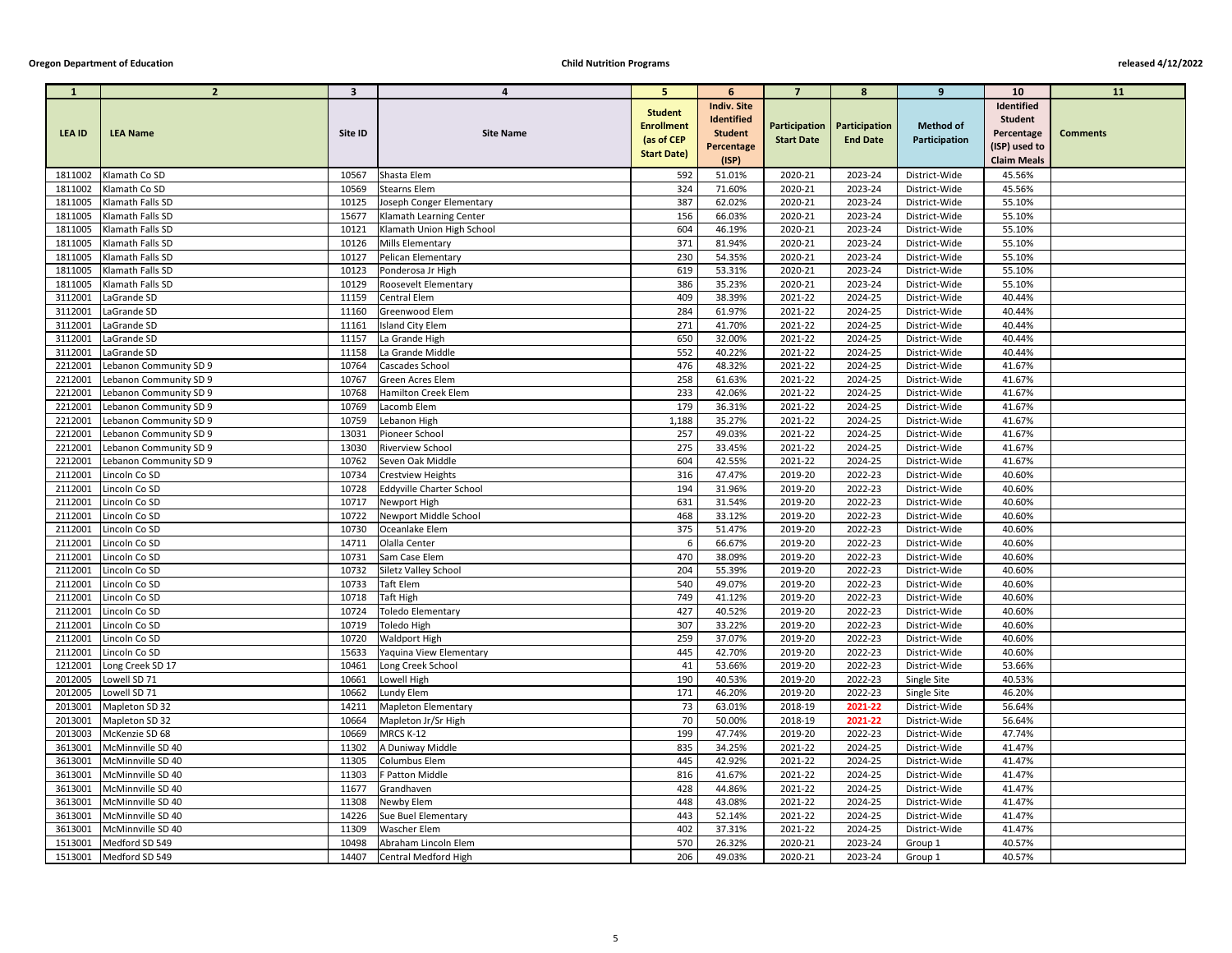| $\mathbf{1}$       | $2^{\circ}$                          | $\overline{\mathbf{3}}$ | 4                                      | $\overline{\mathbf{5}}$                                                 | 6                                                                | $\overline{7}$     | 8                                                       | 9                                 | <b>10</b>                                                   | <b>11</b>       |
|--------------------|--------------------------------------|-------------------------|----------------------------------------|-------------------------------------------------------------------------|------------------------------------------------------------------|--------------------|---------------------------------------------------------|-----------------------------------|-------------------------------------------------------------|-----------------|
| <b>LEA ID</b>      | <b>LEA Name</b>                      | Site ID                 | <b>Site Name</b>                       | <b>Student</b><br><b>Enrollment</b><br>(as of CEP<br><b>Start Date)</b> | <b>Indiv. Site</b><br>Identified<br><b>Student</b><br>Percentage | <b>Start Date</b>  | <b>Participation   Participation</b><br><b>End Date</b> | <b>Method of</b><br>Participation | Identified<br><b>Student</b><br>Percentage<br>(ISP) used to | <b>Comments</b> |
|                    |                                      |                         |                                        |                                                                         | (ISP)                                                            |                    |                                                         |                                   | <b>Claim Meals</b>                                          |                 |
| 1811002            | Klamath Co SD                        | 10567                   | Shasta Elem                            | 592                                                                     | 51.01%                                                           | 2020-21            | 2023-24                                                 | District-Wide                     | 45.56%                                                      |                 |
| 1811002            | Klamath Co SD                        | 10569                   | <b>Stearns Elem</b>                    | 324                                                                     | 71.60%                                                           | 2020-21            | 2023-24                                                 | District-Wide                     | 45.56%                                                      |                 |
| 1811005            | Klamath Falls SD                     | 10125                   | Joseph Conger Elementary               | 387                                                                     | 62.02%                                                           | 2020-21            | 2023-24                                                 | District-Wide                     | 55.10%                                                      |                 |
| 1811005            | Klamath Falls SD                     | 15677                   | Klamath Learning Center                | 156                                                                     | 66.03%                                                           | 2020-21            | 2023-24                                                 | District-Wide                     | 55.10%                                                      |                 |
| 1811005            | Klamath Falls SD                     | 10121                   | Klamath Union High School              | 604                                                                     | 46.19%                                                           | 2020-21            | 2023-24                                                 | District-Wide                     | 55.10%                                                      |                 |
| 1811005<br>1811005 | Klamath Falls SD<br>Klamath Falls SD | 10126<br>10127          | Mills Elementary<br>Pelican Elementary | 371<br>230                                                              | 81.94%<br>54.35%                                                 | 2020-21<br>2020-21 | 2023-24<br>2023-24                                      | District-Wide<br>District-Wide    | 55.10%<br>55.10%                                            |                 |
| 1811005            | <b>Klamath Falls SD</b>              | 10123                   | Ponderosa Jr High                      | 619                                                                     | 53.31%                                                           | 2020-21            | 2023-24                                                 | District-Wide                     | 55.10%                                                      |                 |
| 1811005            | <b>Klamath Falls SD</b>              | 10129                   | Roosevelt Elementary                   | 386                                                                     | 35.23%                                                           | 2020-21            | 2023-24                                                 | District-Wide                     | 55.10%                                                      |                 |
| 3112001            | LaGrande SD                          | 11159                   | Central Elem                           | 409                                                                     | 38.39%                                                           | 2021-22            | 2024-25                                                 | District-Wide                     | 40.44%                                                      |                 |
| 3112001            | LaGrande SD                          | 11160                   | Greenwood Elem                         | 284                                                                     | 61.97%                                                           | 2021-22            | 2024-25                                                 | District-Wide                     | 40.44%                                                      |                 |
| 3112001            | LaGrande SD                          | 11161                   | <b>Island City Elem</b>                | 271                                                                     | 41.70%                                                           | 2021-22            | 2024-25                                                 | District-Wide                     | 40.44%                                                      |                 |
| 3112001            | LaGrande SD                          | 11157                   | La Grande High                         | 650                                                                     | 32.00%                                                           | 2021-22            | 2024-25                                                 | District-Wide                     | 40.44%                                                      |                 |
| 3112001            | LaGrande SD                          | 11158                   | La Grande Middle                       | 552                                                                     | 40.22%                                                           | 2021-22            | 2024-25                                                 | District-Wide                     | 40.44%                                                      |                 |
| 2212001            | Lebanon Community SD 9               | 10764                   | Cascades School                        | 476                                                                     | 48.32%                                                           | 2021-22            | 2024-25                                                 | District-Wide                     | 41.67%                                                      |                 |
| 2212001            | Lebanon Community SD 9               | 10767                   | <b>Green Acres Elem</b>                | 258                                                                     | 61.63%                                                           | 2021-22            | 2024-25                                                 | District-Wide                     | 41.67%                                                      |                 |
| 2212001            | Lebanon Community SD 9               | 10768                   | Hamilton Creek Elem                    | 233                                                                     | 42.06%                                                           | 2021-22            | 2024-25                                                 | District-Wide                     | 41.67%                                                      |                 |
| 2212001            | Lebanon Community SD 9               | 10769                   | Lacomb Elem                            | 179                                                                     | 36.31%                                                           | 2021-22            | 2024-25                                                 | District-Wide                     | 41.67%                                                      |                 |
| 2212001            | Lebanon Community SD 9               | 10759                   | Lebanon High                           | 1,188                                                                   | 35.27%                                                           | 2021-22            | 2024-25                                                 | District-Wide                     | 41.67%                                                      |                 |
| 2212001            | Lebanon Community SD 9               | 13031                   | Pioneer School                         | 257                                                                     | 49.03%                                                           | 2021-22            | 2024-25                                                 | District-Wide                     | 41.67%                                                      |                 |
| 2212001            | Lebanon Community SD 9               | 13030                   | <b>Riverview School</b>                | 275                                                                     | 33.45%                                                           | 2021-22            | 2024-25                                                 | District-Wide                     | 41.67%                                                      |                 |
| 2212001            | Lebanon Community SD 9               | 10762                   | Seven Oak Middle                       | 604                                                                     | 42.55%                                                           | 2021-22            | 2024-25                                                 | District-Wide                     | 41.67%                                                      |                 |
| 2112001            | Lincoln Co SD                        | 10734                   | <b>Crestview Heights</b>               | 316                                                                     | 47.47%                                                           | 2019-20            | 2022-23                                                 | District-Wide                     | 40.60%                                                      |                 |
| 2112001            | Lincoln Co SD                        | 10728                   | Eddyville Charter School               | 194                                                                     | 31.96%                                                           | 2019-20            | 2022-23                                                 | District-Wide                     | 40.60%                                                      |                 |
| 2112001            | Lincoln Co SD                        | 10717                   | Newport High                           | 631                                                                     | 31.54%                                                           | 2019-20            | 2022-23                                                 | District-Wide                     | 40.60%                                                      |                 |
|                    | 2112001   Lincoln Co SD              | 10722                   | Newport Middle School                  | 468                                                                     | 33.12%                                                           | 2019-20            | 2022-23                                                 | District-Wide                     | 40.60%                                                      |                 |
| 2112001            | Lincoln Co SD                        | 10730                   | Oceanlake Elem                         | 375                                                                     | 51.47%                                                           | 2019-20            | 2022-23                                                 | District-Wide                     | 40.60%                                                      |                 |
| 2112001            | Lincoln Co SD                        | 14711                   | Olalla Center                          | 6                                                                       | 66.67%                                                           | 2019-20            | 2022-23                                                 | District-Wide                     | 40.60%                                                      |                 |
| 2112001            | Lincoln Co SD                        | 10731                   | Sam Case Elem                          | 470                                                                     | 38.09%                                                           | 2019-20            | 2022-23                                                 | District-Wide                     | 40.60%                                                      |                 |
| 2112001            | Lincoln Co SD                        | 10732                   | Siletz Valley School                   | 204                                                                     | 55.39%                                                           | 2019-20            | 2022-23                                                 | District-Wide                     | 40.60%                                                      |                 |
| 2112001            | Lincoln Co SD                        | 10733                   | Taft Elem                              | 540                                                                     | 49.07%                                                           | 2019-20            | 2022-23                                                 | District-Wide                     | 40.60%                                                      |                 |
| 2112001            | Lincoln Co SD                        | 10718                   | <b>Taft High</b>                       | 749                                                                     | 41.12%                                                           | 2019-20            | 2022-23                                                 | District-Wide                     | 40.60%                                                      |                 |
| 2112001            | Lincoln Co SD                        | 10724                   | <b>Toledo Elementary</b>               | 427                                                                     | 40.52%                                                           | 2019-20            | 2022-23                                                 | District-Wide                     | 40.60%                                                      |                 |
| 2112001            | Lincoln Co SD                        | 10719                   | <b>Toledo High</b>                     | 307                                                                     | 33.22%                                                           | 2019-20            | 2022-23                                                 | District-Wide                     | 40.60%                                                      |                 |
| 2112001            | Lincoln Co SD                        | 10720                   | <b>Waldport High</b>                   | 259                                                                     | 37.07%                                                           | 2019-20            | 2022-23                                                 | District-Wide                     | 40.60%                                                      |                 |
| 2112001            | Lincoln Co SD                        | 15633                   | Yaquina View Elementary                | 445                                                                     | 42.70%                                                           | 2019-20            | 2022-23                                                 | District-Wide                     | 40.60%                                                      |                 |
| 1212001            | Long Creek SD 17                     | 10461                   | Long Creek School                      | 41                                                                      | 53.66%                                                           | 2019-20            | 2022-23                                                 | District-Wide                     | 53.66%                                                      |                 |
| 2012005            | Lowell SD 71                         | 10661                   | Lowell High                            | 190                                                                     | 40.53%                                                           | 2019-20            | 2022-23                                                 | <b>Single Site</b>                | 40.53%                                                      |                 |
| 2012005            | Lowell SD 71                         | 10662                   | Lundy Elem                             | 171                                                                     | 46.20%                                                           | 2019-20            | 2022-23                                                 | Single Site                       | 46.20%                                                      |                 |
| 2013001<br>2013001 | Mapleton SD 32                       | 14211<br>10664          | <b>Mapleton Elementary</b>             | 73<br>70                                                                | 63.01%<br>50.00%                                                 | 2018-19<br>2018-19 | 2021-22<br>2021-22                                      | District-Wide                     | 56.64%<br>56.64%                                            |                 |
| 2013003            | Mapleton SD 32<br>McKenzie SD 68     | 10669                   | Mapleton Jr/Sr High<br>MRCS K-12       | 199                                                                     | 47.74%                                                           | 2019-20            | 2022-23                                                 | District-Wide                     | 47.74%                                                      |                 |
| 3613001            | McMinnville SD 40                    | 11302                   | A Duniway Middle                       | 835                                                                     | 34.25%                                                           | 2021-22            | 2024-25                                                 | District-Wide<br>District-Wide    | 41.47%                                                      |                 |
| 3613001            | McMinnville SD 40                    | 11305                   | Columbus Elem                          | 445                                                                     | 42.92%                                                           | 2021-22            | 2024-25                                                 | District-Wide                     | 41.47%                                                      |                 |
| 3613001            | McMinnville SD 40                    | 11303                   | F Patton Middle                        | 816                                                                     | 41.67%                                                           | 2021-22            | 2024-25                                                 | District-Wide                     | 41.47%                                                      |                 |
| 3613001            | McMinnville SD 40                    | 11677                   | Grandhaven                             | 428                                                                     | 44.86%                                                           | 2021-22            | 2024-25                                                 | District-Wide                     | 41.47%                                                      |                 |
| 3613001            | McMinnville SD 40                    | 11308                   | Newby Elem                             | 448                                                                     | 43.08%                                                           | 2021-22            | 2024-25                                                 | District-Wide                     | 41.47%                                                      |                 |
| 3613001            | McMinnville SD 40                    | 14226                   | Sue Buel Elementary                    | 443                                                                     | 52.14%                                                           | 2021-22            | 2024-25                                                 | District-Wide                     | 41.47%                                                      |                 |
| 3613001            | McMinnville SD 40                    | 11309                   | <b>Wascher Elem</b>                    | 402                                                                     | 37.31%                                                           | 2021-22            | 2024-25                                                 | District-Wide                     | 41.47%                                                      |                 |
| 1513001            | Medford SD 549                       | 10498                   | Abraham Lincoln Elem                   | 570                                                                     | 26.32%                                                           | 2020-21            | 2023-24                                                 | Group 1                           | 40.57%                                                      |                 |
| 1513001            | Medford SD 549                       | 14407                   | Central Medford High                   | 206                                                                     | 49.03%                                                           | 2020-21            | 2023-24                                                 | Group 1                           | 40.57%                                                      |                 |
|                    |                                      |                         |                                        |                                                                         |                                                                  |                    |                                                         |                                   |                                                             |                 |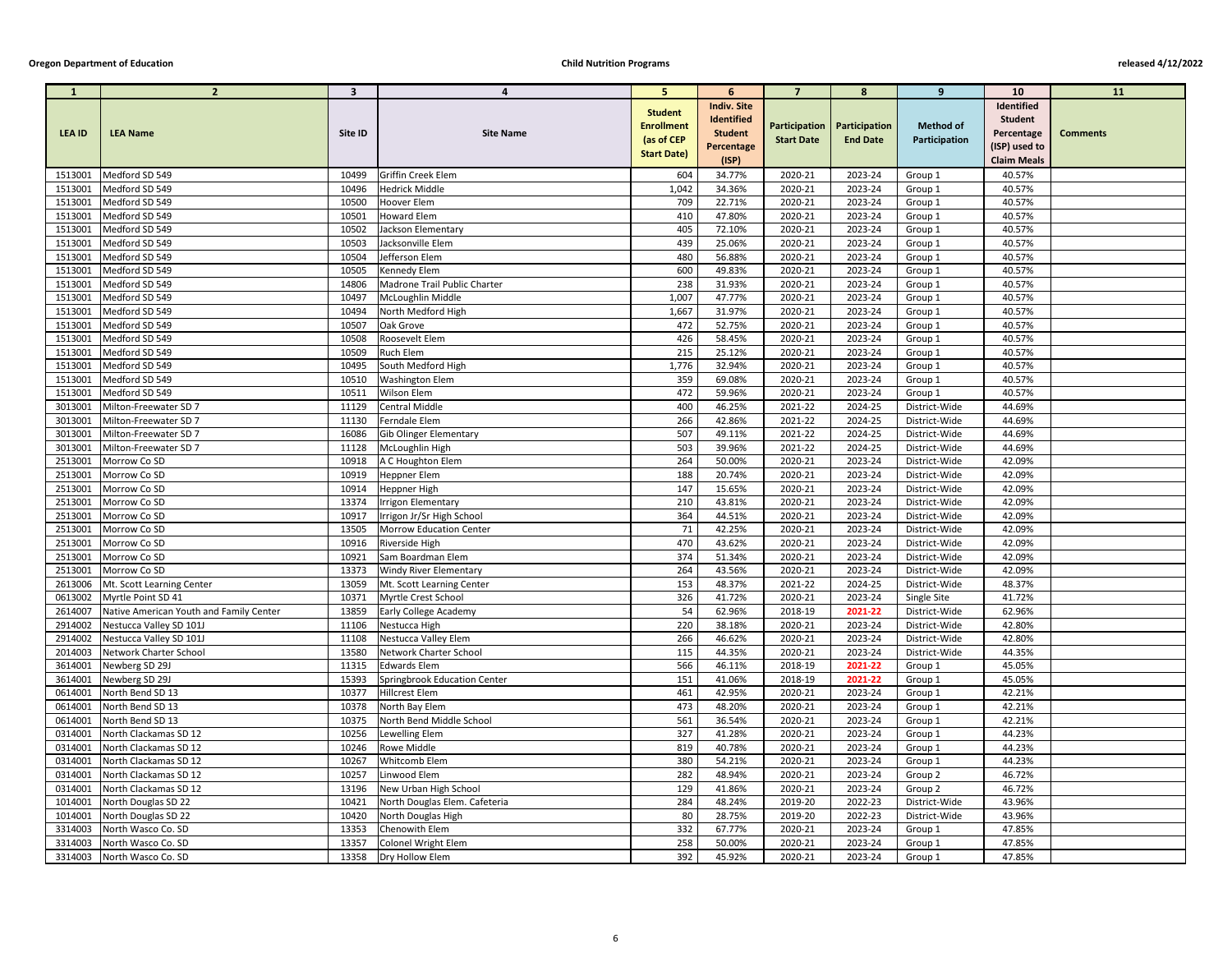| $\mathbf{1}$       | $\overline{2}$                          | $\overline{\mathbf{3}}$ | 4                                   | 5.                                                | 6                                                                       | $\overline{7}$     | 8                                                       | 9                                 | <b>10</b>                                                   | <b>11</b>       |
|--------------------|-----------------------------------------|-------------------------|-------------------------------------|---------------------------------------------------|-------------------------------------------------------------------------|--------------------|---------------------------------------------------------|-----------------------------------|-------------------------------------------------------------|-----------------|
| <b>LEA ID</b>      | <b>LEA Name</b>                         | Site ID                 | <b>Site Name</b>                    | <b>Student</b><br><b>Enrollment</b><br>(as of CEP | <b>Indiv. Site</b><br><b>Identified</b><br><b>Student</b><br>Percentage | <b>Start Date</b>  | <b>Participation   Participation</b><br><b>End Date</b> | <b>Method of</b><br>Participation | Identified<br><b>Student</b><br>Percentage<br>(ISP) used to | <b>Comments</b> |
|                    |                                         |                         |                                     | <b>Start Date)</b>                                | (ISP)                                                                   |                    |                                                         |                                   | <b>Claim Meals</b>                                          |                 |
| 1513001            | Medford SD 549                          | 10499                   | Griffin Creek Elem                  | 604                                               | 34.77%                                                                  | 2020-21            | 2023-24                                                 | Group 1                           | 40.57%                                                      |                 |
| 1513001            | Medford SD 549                          | 10496                   | <b>Hedrick Middle</b>               | 1,042                                             | 34.36%                                                                  | 2020-21            | 2023-24                                                 | Group 1                           | 40.57%                                                      |                 |
| 1513001            | Medford SD 549                          | 10500                   | Hoover Elem                         | 709                                               | 22.71%                                                                  | 2020-21            | 2023-24                                                 | Group 1                           | 40.57%                                                      |                 |
| 1513001            | Medford SD 549                          | 10501                   | <b>Howard Elem</b>                  | 410                                               | 47.80%                                                                  | 2020-21            | 2023-24                                                 | Group 1                           | 40.57%                                                      |                 |
| 1513001            | Medford SD 549                          | 10502                   | Jackson Elementary                  | 405                                               | 72.10%                                                                  | 2020-21            | 2023-24                                                 | Group 1                           | 40.57%                                                      |                 |
| 1513001            | Medford SD 549                          | 10503                   | Jacksonville Elem                   | 439                                               | 25.06%                                                                  | 2020-21            | 2023-24                                                 | Group 1                           | 40.57%                                                      |                 |
| 1513001            | Medford SD 549                          | 10504                   | Jefferson Elem                      | 480                                               | 56.88%                                                                  | 2020-21            | 2023-24                                                 | Group 1                           | 40.57%                                                      |                 |
| 1513001            | Medford SD 549                          | 10505                   | <b>Kennedy Elem</b>                 | 600                                               | 49.83%                                                                  | 2020-21            | 2023-24                                                 | Group 1                           | 40.57%                                                      |                 |
| 1513001            | Medford SD 549                          | 14806                   | Madrone Trail Public Charter        | 238                                               | 31.93%                                                                  | 2020-21            | 2023-24                                                 | Group 1                           | 40.57%                                                      |                 |
| 1513001            | Medford SD 549                          | 10497                   | McLoughlin Middle                   | 1,007                                             | 47.77%                                                                  | 2020-21            | 2023-24                                                 | Group 1                           | 40.57%                                                      |                 |
| 1513001            | Medford SD 549                          | 10494                   | North Medford High                  | 1,667                                             | 31.97%                                                                  | 2020-21            | 2023-24                                                 | Group 1                           | 40.57%                                                      |                 |
| 1513001            | Medford SD 549                          | 10507                   | Oak Grove                           | 472                                               | 52.75%                                                                  | 2020-21            | 2023-24                                                 | Group 1                           | 40.57%                                                      |                 |
| 1513001            | Medford SD 549                          | 10508                   | Roosevelt Elem                      | 426                                               | 58.45%                                                                  | 2020-21            | 2023-24                                                 | Group 1                           | 40.57%                                                      |                 |
| 1513001            | Medford SD 549                          | 10509                   | Ruch Elem                           | 215                                               | 25.12%                                                                  | 2020-21            | 2023-24                                                 | Group 1                           | 40.57%                                                      |                 |
| 1513001            | Medford SD 549                          | 10495                   | South Medford High                  | 1,776                                             | 32.94%                                                                  | 2020-21            | 2023-24                                                 | Group 1                           | 40.57%                                                      |                 |
| 1513001            | Medford SD 549                          | 10510                   | <b>Washington Elem</b>              | 359                                               | 69.08%                                                                  | 2020-21            | 2023-24                                                 | Group 1                           | 40.57%                                                      |                 |
| 1513001            | Medford SD 549                          | 10511                   | Wilson Elem                         | 472                                               | 59.96%                                                                  | 2020-21            | 2023-24                                                 | Group 1                           | 40.57%                                                      |                 |
| 3013001            | Milton-Freewater SD 7                   | 11129                   | <b>Central Middle</b>               | 400                                               | 46.25%                                                                  | 2021-22            | 2024-25                                                 | District-Wide                     | 44.69%                                                      |                 |
| 3013001            | Milton-Freewater SD 7                   | 11130                   | Ferndale Elem                       | 266                                               | 42.86%                                                                  | 2021-22            | 2024-25                                                 | District-Wide                     | 44.69%                                                      |                 |
| 3013001            | Milton-Freewater SD 7                   | 16086                   | <b>Gib Olinger Elementary</b>       | 507                                               | 49.11%                                                                  | 2021-22            | 2024-25                                                 | District-Wide                     | 44.69%                                                      |                 |
| 3013001            | Milton-Freewater SD 7                   | 11128                   | McLoughlin High                     | 503                                               | 39.96%                                                                  | 2021-22            | 2024-25                                                 | District-Wide                     | 44.69%                                                      |                 |
| 2513001            | Morrow Co SD                            | 10918                   | A C Houghton Elem                   | 264                                               | 50.00%                                                                  | 2020-21            | 2023-24                                                 | District-Wide                     | 42.09%                                                      |                 |
| 2513001            | Morrow Co SD                            | 10919                   | <b>Heppner Elem</b>                 | 188                                               | 20.74%                                                                  | 2020-21            | 2023-24                                                 | District-Wide                     | 42.09%                                                      |                 |
| 2513001            | Morrow Co SD                            | 10914                   | Heppner High                        | 147                                               | 15.65%                                                                  | 2020-21            | 2023-24                                                 | District-Wide                     | 42.09%                                                      |                 |
| 2513001            | Morrow Co SD                            | 13374                   | <b>Irrigon Elementary</b>           | 210                                               | 43.81%                                                                  | 2020-21            | 2023-24                                                 | District-Wide                     | 42.09%                                                      |                 |
| 2513001            | Morrow Co SD                            | 10917                   | Irrigon Jr/Sr High School           | 364                                               | 44.51%                                                                  | 2020-21            | 2023-24                                                 | District-Wide<br>District-Wide    | 42.09%                                                      |                 |
| 2513001<br>2513001 | Morrow Co SD<br>Morrow Co SD            | 13505<br>10916          | <b>Morrow Education Center</b>      | 71<br>470                                         | 42.25%<br>43.62%                                                        | 2020-21<br>2020-21 | 2023-24<br>2023-24                                      |                                   | 42.09%<br>42.09%                                            |                 |
| 2513001            | Morrow Co SD                            | 10921                   | Riverside High<br>Sam Boardman Elem | 374                                               | 51.34%                                                                  | 2020-21            | 2023-24                                                 | District-Wide<br>District-Wide    | 42.09%                                                      |                 |
| 2513001            | Morrow Co SD                            | 13373                   | <b>Windy River Elementary</b>       | 264                                               | 43.56%                                                                  | 2020-21            | 2023-24                                                 | District-Wide                     | 42.09%                                                      |                 |
| 2613006            | Mt. Scott Learning Center               | 13059                   | Mt. Scott Learning Center           | 153                                               | 48.37%                                                                  | 2021-22            | 2024-25                                                 | District-Wide                     | 48.37%                                                      |                 |
| 0613002            | Myrtle Point SD 41                      | 10371                   | Myrtle Crest School                 | 326                                               | 41.72%                                                                  | 2020-21            | 2023-24                                                 | Single Site                       | 41.72%                                                      |                 |
| 2614007            | Native American Youth and Family Center | 13859                   | Early College Academy               | 54                                                | 62.96%                                                                  | 2018-19            | 2021-22                                                 | District-Wide                     | 62.96%                                                      |                 |
| 2914002            | Nestucca Valley SD 101J                 | 11106                   | Nestucca High                       | 220                                               | 38.18%                                                                  | 2020-21            | 2023-24                                                 | District-Wide                     | 42.80%                                                      |                 |
| 2914002            | Nestucca Valley SD 101J                 | 11108                   | <b>Nestucca Valley Elem</b>         | 266                                               | 46.62%                                                                  | 2020-21            | 2023-24                                                 | District-Wide                     | 42.80%                                                      |                 |
| 2014003            | Network Charter School                  | 13580                   | Network Charter School              | 115                                               | 44.35%                                                                  | 2020-21            | 2023-24                                                 | District-Wide                     | 44.35%                                                      |                 |
| 3614001            | Newberg SD 29J                          | 11315                   | <b>Edwards Elem</b>                 | 566                                               | 46.11%                                                                  | 2018-19            | 2021-22                                                 | Group 1                           | 45.05%                                                      |                 |
| 3614001            | Newberg SD 29J                          | 15393                   | Springbrook Education Center        | 151                                               | 41.06%                                                                  | 2018-19            | 2021-22                                                 | Group 1                           | 45.05%                                                      |                 |
| 0614001            | North Bend SD 13                        | 10377                   | <b>Hillcrest Elem</b>               | 461                                               | 42.95%                                                                  | 2020-21            | 2023-24                                                 | Group 1                           | 42.21%                                                      |                 |
| 0614001            | North Bend SD 13                        | 10378                   | North Bay Elem                      | 473                                               | 48.20%                                                                  | 2020-21            | 2023-24                                                 | Group 1                           | 42.21%                                                      |                 |
| 0614001            | North Bend SD 13                        | 10375                   | North Bend Middle School            | 561                                               | 36.54%                                                                  | 2020-21            | 2023-24                                                 | Group 1                           | 42.21%                                                      |                 |
| 0314001            | North Clackamas SD 12                   | 10256                   | Lewelling Elem                      | 327                                               | 41.28%                                                                  | 2020-21            | 2023-24                                                 | Group 1                           | 44.23%                                                      |                 |
| 0314001            | North Clackamas SD 12                   | 10246                   | Rowe Middle                         | 819                                               | 40.78%                                                                  | 2020-21            | 2023-24                                                 | Group 1                           | 44.23%                                                      |                 |
| 0314001            | North Clackamas SD 12                   | 10267                   | <b>Whitcomb Elem</b>                | 380                                               | 54.21%                                                                  | 2020-21            | 2023-24                                                 | Group 1                           | 44.23%                                                      |                 |
| 0314001            | North Clackamas SD 12                   | 10257                   | Linwood Elem                        | 282                                               | 48.94%                                                                  | 2020-21            | 2023-24                                                 | Group 2                           | 46.72%                                                      |                 |
| 0314001            | North Clackamas SD 12                   | 13196                   | New Urban High School               | 129                                               | 41.86%                                                                  | 2020-21            | 2023-24                                                 | Group 2                           | 46.72%                                                      |                 |
| 1014001            | North Douglas SD 22                     | 10421                   | North Douglas Elem. Cafeteria       | 284                                               | 48.24%                                                                  | 2019-20            | 2022-23                                                 | District-Wide                     | 43.96%                                                      |                 |
| 1014001            | North Douglas SD 22                     | 10420                   | North Douglas High                  | 80                                                | 28.75%                                                                  | 2019-20            | 2022-23                                                 | District-Wide                     | 43.96%                                                      |                 |
| 3314003            | North Wasco Co. SD                      | 13353                   | Chenowith Elem                      | 332                                               | 67.77%                                                                  | 2020-21            | 2023-24                                                 | Group 1                           | 47.85%                                                      |                 |
| 3314003            | North Wasco Co. SD                      | 13357                   | Colonel Wright Elem                 | 258                                               | 50.00%                                                                  | 2020-21            | 2023-24                                                 | Group 1                           | 47.85%                                                      |                 |
| 3314003            | North Wasco Co. SD                      | 13358                   | Dry Hollow Elem                     | 392                                               | 45.92%                                                                  | 2020-21            | 2023-24                                                 | Group 1                           | 47.85%                                                      |                 |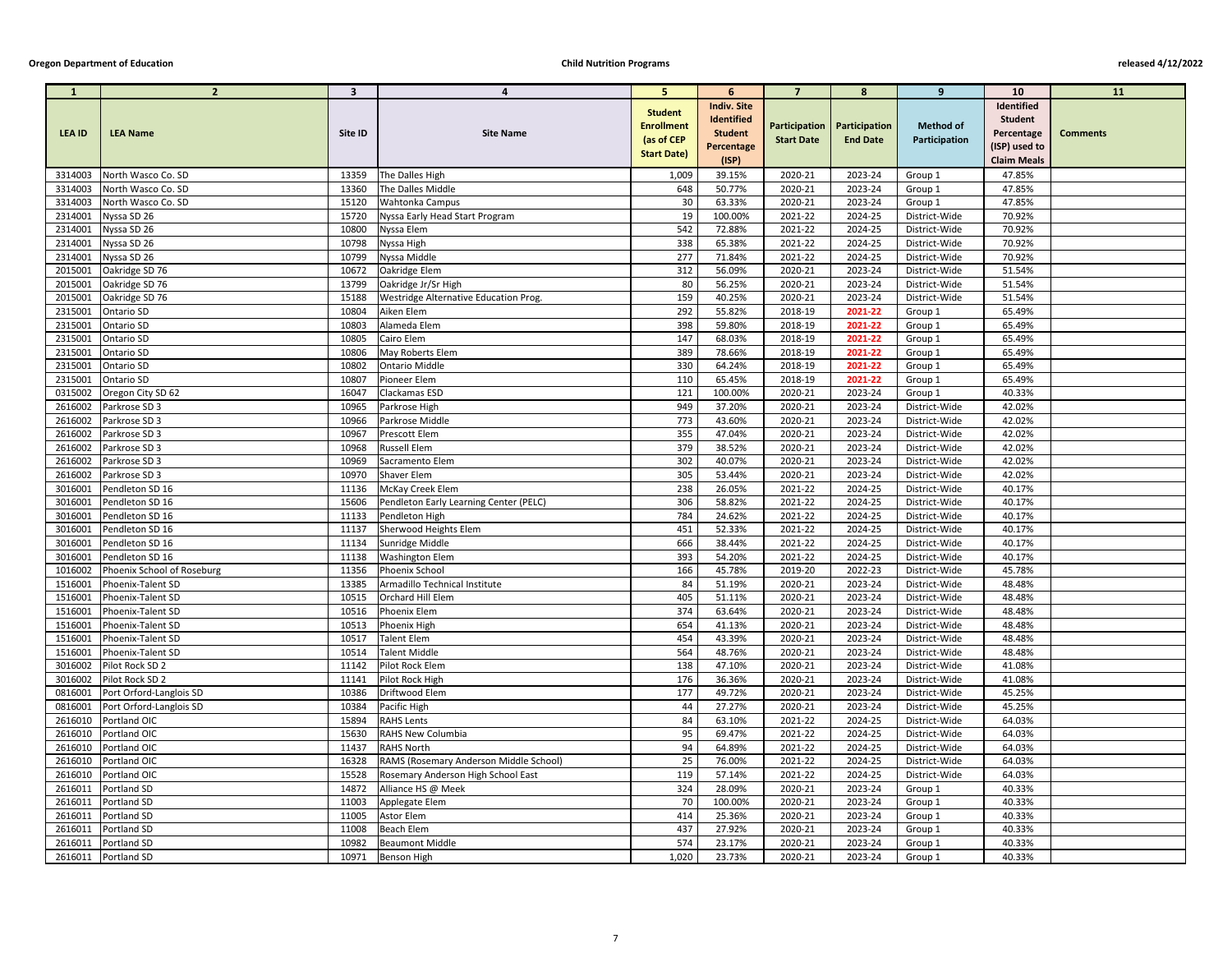| -1                 | $\overline{2}$             | $\overline{\mathbf{3}}$ | 4                                      | -5.                                                                     | 6                                                                         | $\overline{7}$     | -8                                                      | 9                                 | <b>10</b>                                                                         | <b>11</b>       |
|--------------------|----------------------------|-------------------------|----------------------------------------|-------------------------------------------------------------------------|---------------------------------------------------------------------------|--------------------|---------------------------------------------------------|-----------------------------------|-----------------------------------------------------------------------------------|-----------------|
| <b>LEA ID</b>      | <b>LEA Name</b>            | Site ID                 | <b>Site Name</b>                       | <b>Student</b><br><b>Enrollment</b><br>(as of CEP<br><b>Start Date)</b> | <b>Indiv. Site</b><br>Identified<br><b>Student</b><br>Percentage<br>(ISP) | <b>Start Date</b>  | <b>Participation   Participation</b><br><b>End Date</b> | <b>Method of</b><br>Participation | Identified<br><b>Student</b><br>Percentage<br>(ISP) used to<br><b>Claim Meals</b> | <b>Comments</b> |
| 3314003            | North Wasco Co. SD         | 13359                   | The Dalles High                        | 1,009                                                                   | 39.15%                                                                    | 2020-21            | 2023-24                                                 | Group 1                           | 47.85%                                                                            |                 |
| 3314003            | North Wasco Co. SD         | 13360                   | The Dalles Middle                      | 648                                                                     | 50.77%                                                                    | 2020-21            | 2023-24                                                 | Group 1                           | 47.85%                                                                            |                 |
| 3314003            | North Wasco Co. SD         | 15120                   | Wahtonka Campus                        | 30                                                                      | 63.33%                                                                    | 2020-21            | 2023-24                                                 | Group 1                           | 47.85%                                                                            |                 |
| 2314001            | Nyssa SD 26                | 15720                   | Nyssa Early Head Start Program         | 19                                                                      | 100.00%                                                                   | 2021-22            | 2024-25                                                 | District-Wide                     | 70.92%                                                                            |                 |
| 2314001            | Nyssa SD 26                | 10800                   | Nyssa Elem                             | 542                                                                     | 72.88%                                                                    | 2021-22            | 2024-25                                                 | District-Wide                     | 70.92%                                                                            |                 |
| 2314001            | Nyssa SD 26                | 10798                   | Nyssa High                             | 338                                                                     | 65.38%                                                                    | 2021-22            | 2024-25                                                 | District-Wide                     | 70.92%                                                                            |                 |
| 2314001            | Nyssa SD 26                | 10799                   | Nyssa Middle                           | 277                                                                     | 71.84%                                                                    | 2021-22            | 2024-25                                                 | District-Wide                     | 70.92%                                                                            |                 |
| 2015001            | Oakridge SD 76             | 10672                   | Oakridge Elem                          | 312                                                                     | 56.09%                                                                    | 2020-21            | 2023-24                                                 | District-Wide                     | 51.54%                                                                            |                 |
| 2015001            | Oakridge SD 76             | 13799                   | Oakridge Jr/Sr High                    | 80                                                                      | 56.25%                                                                    | 2020-21            | 2023-24                                                 | District-Wide                     | 51.54%                                                                            |                 |
| 2015001            | Oakridge SD 76             | 15188                   | Westridge Alternative Education Prog.  | 159                                                                     | 40.25%                                                                    | 2020-21            | 2023-24                                                 | District-Wide                     | 51.54%                                                                            |                 |
| 2315001            | Ontario SD                 | 10804                   | Aiken Elem                             | 292                                                                     | 55.82%                                                                    | 2018-19            | 2021-22                                                 | Group 1                           | 65.49%                                                                            |                 |
| 2315001            | Ontario SD                 | 10803                   | Alameda Elem                           | 398                                                                     | 59.80%                                                                    | 2018-19            | 2021-22                                                 | Group 1                           | 65.49%                                                                            |                 |
| 2315001            | Ontario SD                 | 10805                   | Cairo Elem                             | 147                                                                     | 68.03%                                                                    | 2018-19            | 2021-22                                                 | Group 1                           | 65.49%                                                                            |                 |
| 2315001            | Ontario SD                 | 10806                   | May Roberts Elem                       | 389                                                                     | 78.66%                                                                    | 2018-19            | 2021-22                                                 | Group 1                           | 65.49%                                                                            |                 |
| 2315001            | Ontario SD                 | 10802                   | <b>Ontario Middle</b>                  | 330                                                                     | 64.24%                                                                    | 2018-19            | 2021-22                                                 | Group 1                           | 65.49%                                                                            |                 |
| 2315001            | Ontario SD                 | 10807                   | Pioneer Elem                           | 110                                                                     | 65.45%                                                                    | 2018-19            | 2021-22                                                 | Group 1                           | 65.49%                                                                            |                 |
| 0315002            | Oregon City SD 62          | 16047                   | Clackamas ESD                          | 121                                                                     | 100.00%                                                                   | 2020-21            | 2023-24                                                 | Group 1                           | 40.33%                                                                            |                 |
| 2616002            | Parkrose SD 3              | 10965                   | Parkrose High                          | 949                                                                     | 37.20%                                                                    | 2020-21            | 2023-24                                                 | District-Wide                     | 42.02%                                                                            |                 |
| 2616002            | Parkrose SD 3              | 10966                   | Parkrose Middle                        | 773                                                                     | 43.60%                                                                    | 2020-21            | 2023-24                                                 | District-Wide                     | 42.02%                                                                            |                 |
| 2616002            | Parkrose SD 3              | 10967                   | Prescott Elem                          | 355                                                                     | 47.04%                                                                    | 2020-21            | 2023-24                                                 | District-Wide                     | 42.02%                                                                            |                 |
| 2616002            | Parkrose SD 3              | 10968                   | <b>Russell Elem</b>                    | 379                                                                     | 38.52%                                                                    | 2020-21            | 2023-24                                                 | District-Wide                     | 42.02%                                                                            |                 |
| 2616002            | Parkrose SD 3              | 10969                   | Sacramento Elem                        | 302                                                                     | 40.07%                                                                    | 2020-21            | 2023-24                                                 | District-Wide                     | 42.02%                                                                            |                 |
| 2616002            | Parkrose SD 3              | 10970                   | Shaver Elem                            | 305                                                                     | 53.44%                                                                    | 2020-21            | 2023-24                                                 | District-Wide                     | 42.02%                                                                            |                 |
| 3016001            | Pendleton SD 16            | 11136                   | McKay Creek Elem                       | 238                                                                     | 26.05%                                                                    | 2021-22            | 2024-25                                                 | District-Wide                     | 40.17%                                                                            |                 |
| 3016001            | Pendleton SD 16            | 15606                   | Pendleton Early Learning Center (PELC) | 306                                                                     | 58.82%                                                                    | 2021-22            | 2024-25                                                 | District-Wide                     | 40.17%                                                                            |                 |
| 3016001            | Pendleton SD 16            | 11133                   | Pendleton High                         | 784                                                                     | 24.62%                                                                    | 2021-22            | 2024-25                                                 | District-Wide                     | 40.17%                                                                            |                 |
| 3016001            | Pendleton SD 16            | 11137                   | Sherwood Heights Elem                  | 451                                                                     | 52.33%                                                                    | 2021-22            | 2024-25                                                 | District-Wide                     | 40.17%                                                                            |                 |
| 3016001            | Pendleton SD 16            | 11134                   | Sunridge Middle                        | 666                                                                     | 38.44%                                                                    | 2021-22            | 2024-25                                                 | District-Wide                     | 40.17%                                                                            |                 |
| 3016001            | Pendleton SD 16            | 11138                   | <b>Washington Elem</b>                 | 393                                                                     | 54.20%                                                                    | 2021-22            | 2024-25                                                 | District-Wide                     | 40.17%                                                                            |                 |
| 1016002            | Phoenix School of Roseburg | 11356                   | Phoenix School                         | 166                                                                     | 45.78%                                                                    | 2019-20            | 2022-23                                                 | District-Wide                     | 45.78%                                                                            |                 |
| 1516001            | Phoenix-Talent SD          | 13385                   | Armadillo Technical Institute          | 84                                                                      | 51.19%                                                                    | 2020-21            | 2023-24                                                 | District-Wide                     | 48.48%                                                                            |                 |
| 1516001            | Phoenix-Talent SD          | 10515                   | Orchard Hill Elem                      | 405                                                                     | 51.11%                                                                    | 2020-21            | 2023-24                                                 | District-Wide                     | 48.48%                                                                            |                 |
| 1516001            | Phoenix-Talent SD          | 10516                   | Phoenix Elem                           | 374                                                                     | 63.64%                                                                    | 2020-21            | 2023-24                                                 | District-Wide                     | 48.48%                                                                            |                 |
| 1516001            | Phoenix-Talent SD          | 10513                   | Phoenix High                           | 654                                                                     | 41.13%                                                                    | 2020-21            | 2023-24                                                 | District-Wide                     | 48.48%                                                                            |                 |
| 1516001            | Phoenix-Talent SD          | 10517                   | Talent Elem                            | 454                                                                     | 43.39%                                                                    | 2020-21            | 2023-24                                                 | District-Wide                     | 48.48%                                                                            |                 |
| 1516001            | Phoenix-Talent SD          | 10514                   | <b>Talent Middle</b>                   | 564                                                                     | 48.76%                                                                    | 2020-21            | 2023-24                                                 | District-Wide                     | 48.48%                                                                            |                 |
| 3016002            | Pilot Rock SD 2            | 11142                   | Pilot Rock Elem                        | 138                                                                     | 47.10%                                                                    | 2020-21            | 2023-24                                                 | District-Wide                     | 41.08%                                                                            |                 |
| 3016002            | Pilot Rock SD 2            | 11141                   | Pilot Rock High                        | 176                                                                     | 36.36%                                                                    | 2020-21            | 2023-24                                                 | District-Wide                     | 41.08%                                                                            |                 |
| 0816001            | Port Orford-Langlois SD    | 10386                   | Driftwood Elem                         | 177                                                                     | 49.72%                                                                    | 2020-21            | 2023-24                                                 | District-Wide                     | 45.25%                                                                            |                 |
| 0816001            | Port Orford-Langlois SD    | 10384                   | Pacific High                           | 44                                                                      | 27.27%                                                                    | 2020-21            | 2023-24                                                 | District-Wide                     | 45.25%                                                                            |                 |
| 2616010            | Portland OIC               | 15894                   | <b>RAHS</b> Lents                      | 84                                                                      | 63.10%                                                                    | 2021-22            | 2024-25                                                 | District-Wide                     | 64.03%                                                                            |                 |
| 2616010            | Portland OIC               | 15630                   | RAHS New Columbia                      | 95                                                                      | 69.47%                                                                    | 2021-22            | 2024-25                                                 | District-Wide                     | 64.03%                                                                            |                 |
| 2616010            | Portland OIC               | 11437                   | <b>RAHS North</b>                      | 94                                                                      | 64.89%                                                                    | 2021-22            | 2024-25                                                 | District-Wide                     | 64.03%                                                                            |                 |
| 2616010            | Portland OIC               | 16328                   | RAMS (Rosemary Anderson Middle School) | 25                                                                      | 76.00%                                                                    | 2021-22            | 2024-25                                                 | District-Wide                     | 64.03%                                                                            |                 |
| 2616010            | Portland OIC               | 15528                   | Rosemary Anderson High School East     | 119                                                                     | 57.14%                                                                    | 2021-22            | 2024-25                                                 | District-Wide                     | 64.03%                                                                            |                 |
| 2616011            | Portland SD                | 14872                   | Alliance HS @ Meek                     | 324                                                                     | 28.09%                                                                    | 2020-21            | 2023-24                                                 | Group 1                           | 40.33%                                                                            |                 |
| 2616011            | Portland SD                | 11003<br>11005          | Applegate Elem                         | 70                                                                      | 100.00%                                                                   | 2020-21            | 2023-24                                                 | Group 1                           | 40.33%                                                                            |                 |
| 2616011            | Portland SD                |                         | Astor Elem<br>Beach Elem               | 414<br>437                                                              | 25.36%<br>27.92%                                                          | 2020-21            | 2023-24<br>2023-24                                      | Group 1                           | 40.33%                                                                            |                 |
| 2616011<br>2616011 | Portland SD<br>Portland SD | 11008<br>10982          | <b>Beaumont Middle</b>                 | 574                                                                     | 23.17%                                                                    | 2020-21<br>2020-21 | 2023-24                                                 | Group 1<br>Group 1                | 40.33%<br>40.33%                                                                  |                 |
| 2616011            | Portland SD                | 10971                   | Benson High                            | 1,020                                                                   | 23.73%                                                                    | 2020-21            | 2023-24                                                 |                                   | 40.33%                                                                            |                 |
|                    |                            |                         |                                        |                                                                         |                                                                           |                    |                                                         | Group 1                           |                                                                                   |                 |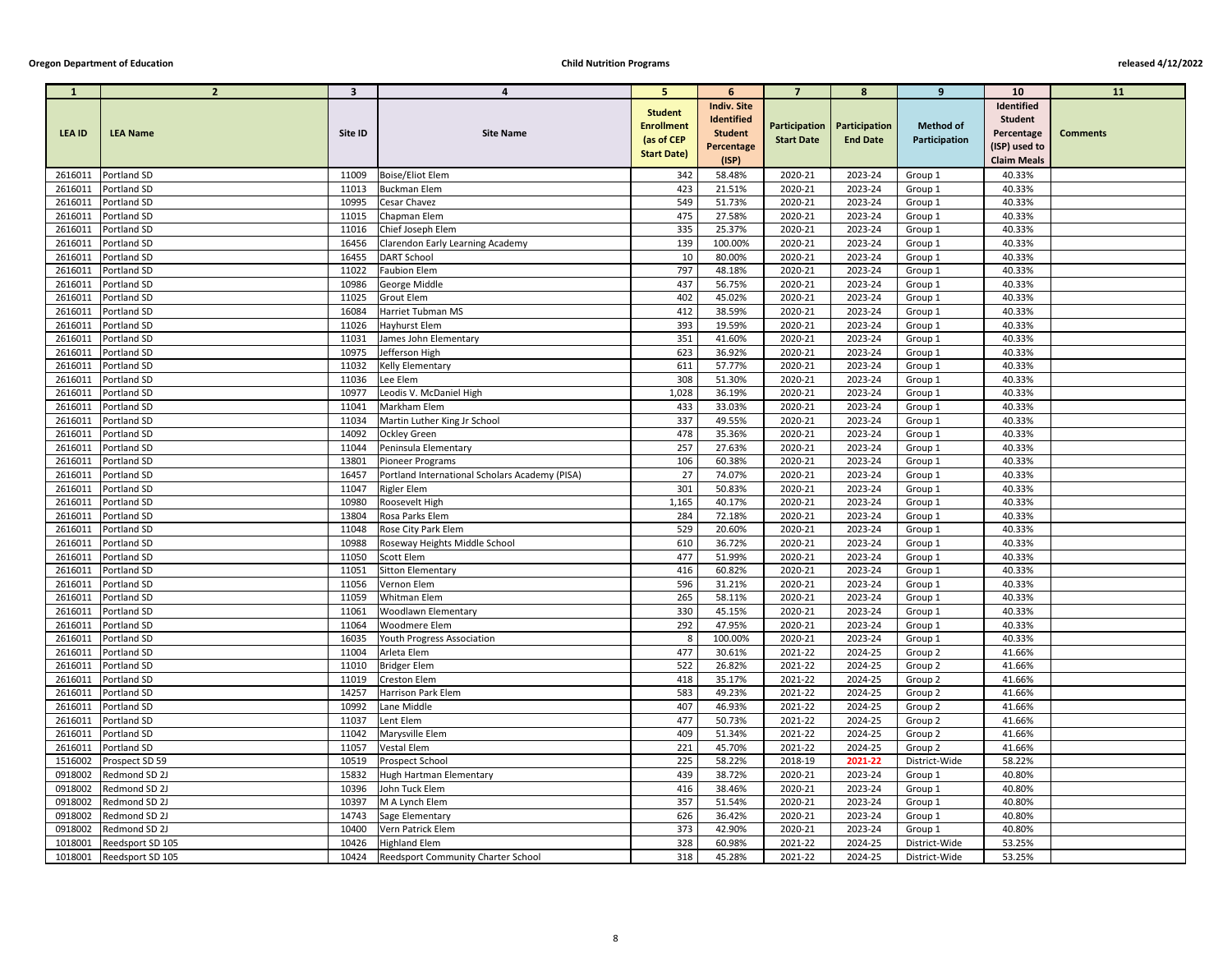| $\mathbf{1}$       | $\overline{2}$             | $\overline{\mathbf{3}}$ | 4                                              | 5.                                                | 6                                                         | $\overline{7}$     | 8                                                | 9                                 | <b>10</b>                                  | <b>11</b>       |
|--------------------|----------------------------|-------------------------|------------------------------------------------|---------------------------------------------------|-----------------------------------------------------------|--------------------|--------------------------------------------------|-----------------------------------|--------------------------------------------|-----------------|
| <b>LEA ID</b>      | <b>LEA Name</b>            | Site ID                 | <b>Site Name</b>                               | <b>Student</b><br><b>Enrollment</b><br>(as of CEP | <b>Indiv. Site</b><br><b>Identified</b><br><b>Student</b> | <b>Start Date</b>  | Participation   Participation<br><b>End Date</b> | <b>Method of</b><br>Participation | Identified<br><b>Student</b><br>Percentage | <b>Comments</b> |
|                    |                            |                         |                                                | <b>Start Date)</b>                                | Percentage                                                |                    |                                                  |                                   | (ISP) used to                              |                 |
|                    |                            |                         |                                                |                                                   | (ISP)                                                     |                    |                                                  |                                   | <b>Claim Meals</b>                         |                 |
| 2616011            | Portland SD<br>Portland SD | 11009<br>11013          | <b>Boise/Eliot Elem</b><br><b>Buckman Elem</b> | 342                                               | 58.48%<br>21.51%                                          | 2020-21            | 2023-24                                          | Group 1                           | 40.33%                                     |                 |
| 2616011            |                            |                         |                                                | 423                                               |                                                           | 2020-21            | 2023-24                                          | Group 1                           | 40.33%                                     |                 |
| 2616011<br>2616011 | Portland SD<br>Portland SD | 10995<br>11015          | <b>Cesar Chavez</b><br>Chapman Elem            | 549<br>475                                        | 51.73%<br>27.58%                                          | 2020-21<br>2020-21 | 2023-24<br>2023-24                               | Group 1                           | 40.33%<br>40.33%                           |                 |
| 2616011            | Portland SD                | 11016                   | Chief Joseph Elem                              | 335                                               | 25.37%                                                    | 2020-21            | 2023-24                                          | Group 1<br>Group 1                | 40.33%                                     |                 |
| 2616011            | Portland SD                | 16456                   | Clarendon Early Learning Academy               | 139                                               | 100.00%                                                   | 2020-21            | 2023-24                                          | Group 1                           | 40.33%                                     |                 |
| 2616011            | Portland SD                | 16455                   | <b>DART School</b>                             | 10                                                | 80.00%                                                    | 2020-21            | 2023-24                                          | Group 1                           | 40.33%                                     |                 |
| 2616011            | Portland SD                | 11022                   | <b>Faubion Elem</b>                            | 797                                               | 48.18%                                                    | 2020-21            | 2023-24                                          | Group 1                           | 40.33%                                     |                 |
| 2616011            | Portland SD                | 10986                   | George Middle                                  | 437                                               | 56.75%                                                    | 2020-21            | 2023-24                                          | Group 1                           | 40.33%                                     |                 |
| 2616011            | Portland SD                | 11025                   | <b>Grout Elem</b>                              | 402                                               | 45.02%                                                    | 2020-21            | 2023-24                                          | Group 1                           | 40.33%                                     |                 |
| 2616011            | Portland SD                | 16084                   | Harriet Tubman MS                              | 412                                               | 38.59%                                                    | 2020-21            | 2023-24                                          | Group 1                           | 40.33%                                     |                 |
| 2616011            | Portland SD                | 11026                   | <b>Hayhurst Elem</b>                           | 393                                               | 19.59%                                                    | 2020-21            | 2023-24                                          | Group 1                           | 40.33%                                     |                 |
| 2616011            | Portland SD                | 11031                   | James John Elementary                          | 351                                               | 41.60%                                                    | 2020-21            | 2023-24                                          | Group 1                           | 40.33%                                     |                 |
| 2616011            | Portland SD                | 10975                   | Jefferson High                                 | 623                                               | 36.92%                                                    | 2020-21            | 2023-24                                          | Group 1                           | 40.33%                                     |                 |
| 2616011            | Portland SD                | 11032                   | <b>Kelly Elementary</b>                        | 611                                               | 57.77%                                                    | 2020-21            | 2023-24                                          | Group 1                           | 40.33%                                     |                 |
| 2616011            | Portland SD                | 11036                   | Lee Elem                                       | 308                                               | 51.30%                                                    | 2020-21            | 2023-24                                          | Group 1                           | 40.33%                                     |                 |
| 2616011            | Portland SD                | 10977                   | Leodis V. McDaniel High                        | 1,028                                             | 36.19%                                                    | 2020-21            | 2023-24                                          | Group 1                           | 40.33%                                     |                 |
| 2616011            | Portland SD                | 11041                   | Markham Elem                                   | 433                                               | 33.03%                                                    | 2020-21            | 2023-24                                          | Group 1                           | 40.33%                                     |                 |
| 2616011            | Portland SD                | 11034                   | Martin Luther King Jr School                   | 337                                               | 49.55%                                                    | 2020-21            | 2023-24                                          | Group 1                           | 40.33%                                     |                 |
| 2616011            | Portland SD                | 14092                   | <b>Ockley Green</b>                            | 478                                               | 35.36%                                                    | 2020-21            | 2023-24                                          | Group 1                           | 40.33%                                     |                 |
| 2616011            | Portland SD                | 11044                   | Peninsula Elementary                           | 257                                               | 27.63%                                                    | 2020-21            | 2023-24                                          | Group 1                           | 40.33%                                     |                 |
| 2616011            | Portland SD                | 13801                   | Pioneer Programs                               | 106                                               | 60.38%                                                    | 2020-21            | 2023-24                                          | Group 1                           | 40.33%                                     |                 |
| 2616011            | Portland SD                | 16457                   | Portland International Scholars Academy (PISA) | 27                                                | 74.07%                                                    | 2020-21            | 2023-24                                          | Group 1                           | 40.33%                                     |                 |
| 2616011            | Portland SD                | 11047                   | <b>Rigler Elem</b>                             | 301                                               | 50.83%                                                    | 2020-21            | 2023-24                                          | Group 1                           | 40.33%                                     |                 |
| 2616011            | Portland SD                | 10980                   | Roosevelt High                                 | 1,165                                             | 40.17%                                                    | 2020-21            | 2023-24                                          | Group 1                           | 40.33%                                     |                 |
| 2616011            | Portland SD                | 13804                   | Rosa Parks Elem                                | 284                                               | 72.18%                                                    | 2020-21            | 2023-24                                          | Group 1                           | 40.33%                                     |                 |
| 2616011            | Portland SD                | 11048                   | Rose City Park Elem                            | 529                                               | 20.60%                                                    | 2020-21            | 2023-24                                          | Group 1                           | 40.33%                                     |                 |
| 2616011            | Portland SD                | 10988                   | Roseway Heights Middle School                  | 610                                               | 36.72%                                                    | 2020-21            | 2023-24                                          | Group 1                           | 40.33%                                     |                 |
| 2616011            | Portland SD                | 11050                   | Scott Elem                                     | 477                                               | 51.99%                                                    | 2020-21            | 2023-24                                          | Group 1                           | 40.33%                                     |                 |
| 2616011            | Portland SD                | 11051                   | Sitton Elementary                              | 416                                               | 60.82%                                                    | 2020-21            | 2023-24                                          | Group 1                           | 40.33%                                     |                 |
| 2616011            | Portland SD                | 11056                   | Vernon Elem                                    | 596                                               | 31.21%                                                    | 2020-21            | 2023-24                                          | Group 1                           | 40.33%                                     |                 |
| 2616011            | Portland SD                | 11059                   | Whitman Elem                                   | 265                                               | 58.11%                                                    | 2020-21            | 2023-24                                          | Group 1                           | 40.33%                                     |                 |
| 2616011            | Portland SD                | 11061                   | <b>Woodlawn Elementary</b>                     | 330                                               | 45.15%                                                    | 2020-21            | 2023-24                                          | Group 1                           | 40.33%                                     |                 |
| 2616011            | Portland SD                | 11064                   | <b>Woodmere Elem</b>                           | 292                                               | 47.95%                                                    | 2020-21            | 2023-24                                          | Group 1                           | 40.33%                                     |                 |
| 2616011            | Portland SD                | 16035                   | Youth Progress Association                     | 8                                                 | 100.00%                                                   | 2020-21            | 2023-24                                          | Group 1                           | 40.33%                                     |                 |
| 2616011            | Portland SD                | 11004                   | Arleta Elem                                    | 477                                               | 30.61%                                                    | 2021-22            | 2024-25                                          | Group 2                           | 41.66%                                     |                 |
| 2616011            | Portland SD                | 11010                   | Bridger Elem                                   | 522                                               | 26.82%                                                    | 2021-22            | 2024-25                                          | Group 2                           | 41.66%                                     |                 |
| 2616011            | Portland SD                | 11019                   | <b>Creston Elem</b>                            | 418                                               | 35.17%                                                    | 2021-22            | 2024-25                                          | Group 2                           | 41.66%                                     |                 |
| 2616011            | Portland SD                | 14257                   | Harrison Park Elem                             | 583                                               | 49.23%                                                    | 2021-22            | 2024-25                                          | Group 2                           | 41.66%                                     |                 |
| 2616011            | Portland SD                | 10992                   | Lane Middle                                    | 407                                               | 46.93%                                                    | 2021-22            | 2024-25                                          | Group 2                           | 41.66%                                     |                 |
| 2616011            | Portland SD                | 11037                   | Lent Elem                                      | 477                                               | 50.73%                                                    | 2021-22            | 2024-25                                          | Group 2                           | 41.66%                                     |                 |
| 2616011            | Portland SD                | 11042                   | Marysville Elem                                | 409                                               | 51.34%                                                    | 2021-22            | 2024-25                                          | Group 2                           | 41.66%                                     |                 |
| 2616011            | Portland SD                | 11057                   | <b>Vestal Elem</b>                             | 221                                               | 45.70%                                                    | 2021-22            | 2024-25                                          | Group 2                           | 41.66%                                     |                 |
| 1516002            | Prospect SD 59             | 10519                   | <b>Prospect School</b>                         | 225                                               | 58.22%                                                    | 2018-19            | 2021-22                                          | District-Wide                     | 58.22%                                     |                 |
| 0918002            | Redmond SD 2J              | 15832                   | Hugh Hartman Elementary                        | 439                                               | 38.72%                                                    | 2020-21            | 2023-24                                          | Group 1                           | 40.80%                                     |                 |
| 0918002            | Redmond SD 2J              | 10396                   | John Tuck Elem                                 | 416                                               | 38.46%                                                    | 2020-21            | 2023-24                                          | Group 1                           | 40.80%                                     |                 |
| 0918002            | Redmond SD 2J              | 10397                   | M A Lynch Elem                                 | 357                                               | 51.54%                                                    | 2020-21            | 2023-24                                          | Group 1                           | 40.80%                                     |                 |
| 0918002            | Redmond SD 2J              | 14743                   | Sage Elementary                                | 626                                               | 36.42%                                                    | 2020-21            | 2023-24                                          | Group 1                           | 40.80%                                     |                 |
| 0918002            | Redmond SD 2J              | 10400                   | Vern Patrick Elem                              | 373                                               | 42.90%                                                    | 2020-21            | 2023-24                                          | Group 1                           | 40.80%                                     |                 |
| 1018001            | Reedsport SD 105           | 10426                   | <b>Highland Elem</b>                           | 328                                               | 60.98%                                                    | 2021-22            | 2024-25                                          | District-Wide                     | 53.25%                                     |                 |
| 1018001            | Reedsport SD 105           | 10424                   | <b>Reedsport Community Charter School</b>      | 318                                               | 45.28%                                                    | 2021-22            | 2024-25                                          | District-Wide                     | 53.25%                                     |                 |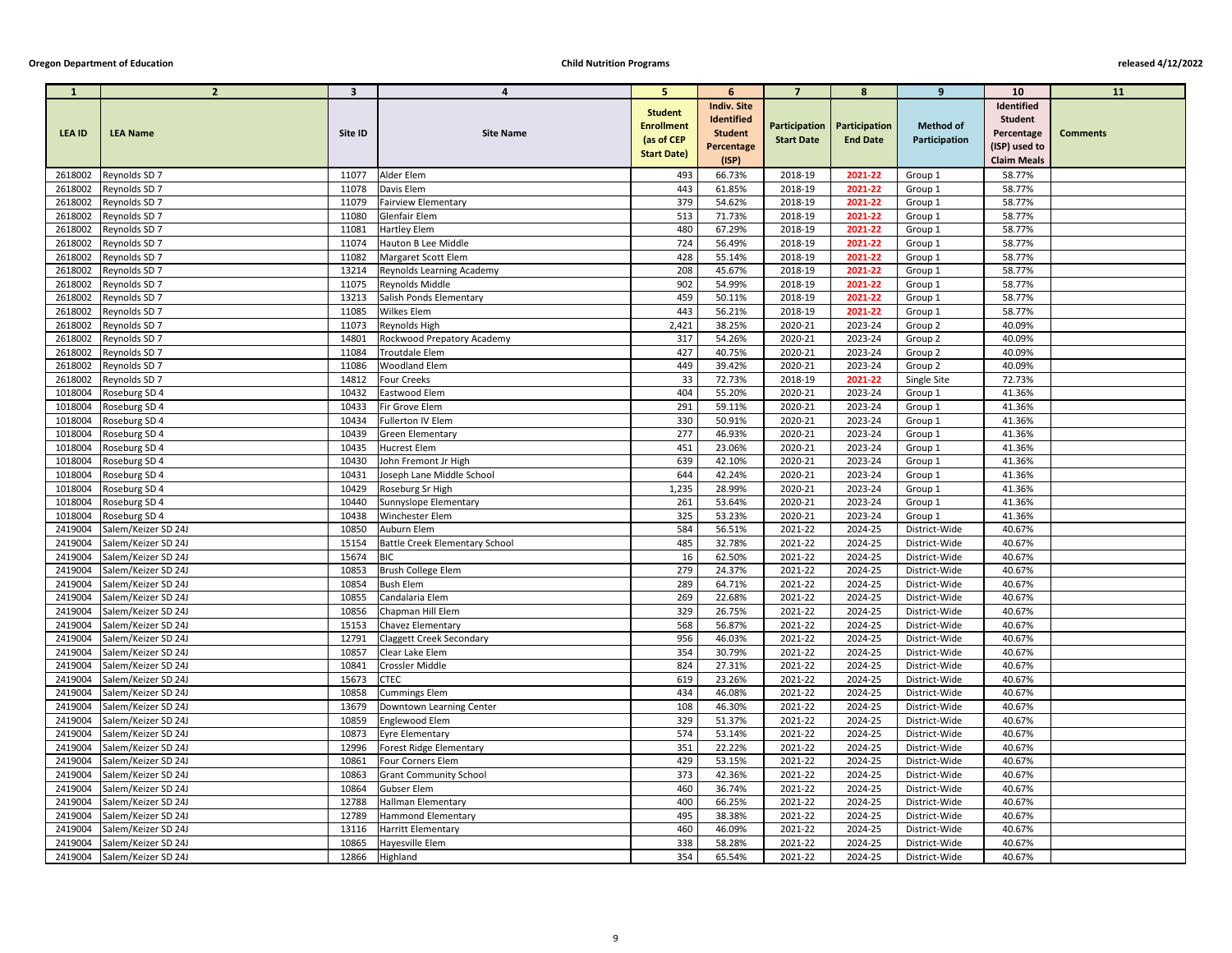| $\mathbf{1}$       | $\overline{2}$                             | $\overline{\mathbf{3}}$ | 4                                             | -5.                | 6                  | $\overline{7}$     | -8                                   | 9                              | <b>10</b>          | <b>11</b>       |
|--------------------|--------------------------------------------|-------------------------|-----------------------------------------------|--------------------|--------------------|--------------------|--------------------------------------|--------------------------------|--------------------|-----------------|
|                    |                                            |                         |                                               | <b>Student</b>     | <b>Indiv. Site</b> |                    |                                      |                                | Identified         |                 |
|                    |                                            |                         |                                               | <b>Enrollment</b>  | Identified         |                    | <b>Participation   Participation</b> | <b>Method of</b>               | <b>Student</b>     |                 |
| <b>LEA ID</b>      | <b>LEA Name</b>                            | Site ID                 | <b>Site Name</b>                              | (as of CEP         | <b>Student</b>     | <b>Start Date</b>  | <b>End Date</b>                      | Participation                  | Percentage         | <b>Comments</b> |
|                    |                                            |                         |                                               | <b>Start Date)</b> | Percentage         |                    |                                      |                                | (ISP) used to      |                 |
|                    |                                            |                         |                                               |                    | (ISP)              |                    |                                      |                                | <b>Claim Meals</b> |                 |
| 2618002<br>2618002 | Reynolds SD 7<br>Reynolds SD 7             | 11077<br>11078          | Alder Elem<br>Davis Elem                      | 493<br>443         | 66.73%<br>61.85%   | 2018-19<br>2018-19 | 2021-22<br>2021-22                   | Group 1<br>Group 1             | 58.77%<br>58.77%   |                 |
| 2618002            | Reynolds SD 7                              | 11079                   | <b>Fairview Elementary</b>                    | 379                | 54.62%             | 2018-19            | 2021-22                              | Group 1                        | 58.77%             |                 |
| 2618002            | Reynolds SD 7                              | 11080                   | Glenfair Elem                                 | 513                | 71.73%             | 2018-19            | 2021-22                              | Group 1                        | 58.77%             |                 |
| 2618002            | Reynolds SD 7                              | 11081                   | <b>Hartley Elem</b>                           | 480                | 67.29%             | 2018-19            | 2021-22                              | Group 1                        | 58.77%             |                 |
| 2618002            | Reynolds SD 7                              | 11074                   | Hauton B Lee Middle                           | 724                | 56.49%             | 2018-19            | 2021-22                              | Group 1                        | 58.77%             |                 |
| 2618002            | Reynolds SD 7                              | 11082                   | Margaret Scott Elem                           | 428                | 55.14%             | 2018-19            | 2021-22                              | Group 1                        | 58.77%             |                 |
| 2618002            | Reynolds SD 7                              | 13214                   | Reynolds Learning Academy                     | 208                | 45.67%             | 2018-19            | 2021-22                              | Group 1                        | 58.77%             |                 |
| 2618002            | Reynolds SD 7                              | 11075                   | Reynolds Middle                               | 902                | 54.99%             | 2018-19            | 2021-22                              | Group 1                        | 58.77%             |                 |
| 2618002            | Reynolds SD 7                              | 13213                   | Salish Ponds Elementary                       | 459                | 50.11%             | 2018-19            | 2021-22                              | Group 1                        | 58.77%             |                 |
| 2618002            | Reynolds SD 7                              | 11085                   | <b>Wilkes Elem</b>                            | 443                | 56.21%             | 2018-19            | 2021-22                              | Group 1                        | 58.77%             |                 |
| 2618002            | Reynolds SD 7                              | 11073                   | Reynolds High                                 | 2,421              | 38.25%             | 2020-21            | 2023-24                              | Group 2                        | 40.09%             |                 |
| 2618002            | Reynolds SD 7                              | 14801                   | Rockwood Prepatory Academy                    | 317                | 54.26%             | 2020-21            | 2023-24                              | Group 2                        | 40.09%             |                 |
| 2618002            | Reynolds SD 7                              | 11084                   | Troutdale Elem                                | 427                | 40.75%             | 2020-21            | 2023-24                              | Group 2                        | 40.09%             |                 |
| 2618002            | Reynolds SD 7                              | 11086                   | <b>Woodland Elem</b>                          | 449                | 39.42%             | 2020-21            | 2023-24                              | Group 2                        | 40.09%             |                 |
| 2618002            | Reynolds SD 7                              | 14812                   | <b>Four Creeks</b>                            | 33                 | 72.73%             | 2018-19            | 2021-22                              | Single Site                    | 72.73%             |                 |
| 1018004            | Roseburg SD 4                              | 10432                   | Eastwood Elem                                 | 404                | 55.20%             | 2020-21            | 2023-24                              | Group 1                        | 41.36%             |                 |
| 1018004            | Roseburg SD 4                              | 10433                   | Fir Grove Elem                                | 291                | 59.11%             | 2020-21            | 2023-24                              | Group 1                        | 41.36%             |                 |
| 1018004            | Roseburg SD 4                              | 10434                   | Fullerton IV Elem                             | 330                | 50.91%             | 2020-21            | 2023-24                              | Group 1                        | 41.36%             |                 |
| 1018004            | Roseburg SD 4                              | 10439                   | <b>Green Elementary</b>                       | 277                | 46.93%             | 2020-21            | 2023-24                              | Group 1                        | 41.36%             |                 |
| 1018004            | Roseburg SD 4                              | 10435                   | <b>Hucrest Elem</b>                           | 451                | 23.06%             | 2020-21            | 2023-24                              | Group 1                        | 41.36%             |                 |
| 1018004            | Roseburg SD 4                              | 10430                   | John Fremont Jr High                          | 639                | 42.10%             | 2020-21            | 2023-24                              | Group 1                        | 41.36%             |                 |
| 1018004            | Roseburg SD 4                              | 10431                   | Joseph Lane Middle School                     | 644                | 42.24%             | 2020-21            | 2023-24                              | Group 1                        | 41.36%             |                 |
| 1018004            | Roseburg SD 4                              | 10429                   | Roseburg Sr High                              | 1,235              | 28.99%             | 2020-21            | 2023-24                              | Group 1                        | 41.36%             |                 |
| 1018004            | Roseburg SD 4                              | 10440                   | Sunnyslope Elementary                         | 261                | 53.64%             | 2020-21            | 2023-24                              | Group 1                        | 41.36%             |                 |
| 1018004            | Roseburg SD 4                              | 10438                   | Winchester Elem                               | 325<br>584         | 53.23%             | 2020-21            | 2023-24                              | Group 1                        | 41.36%             |                 |
| 2419004<br>2419004 | Salem/Keizer SD 24J<br>Salem/Keizer SD 24J | 10850<br>15154          | Auburn Elem<br>Battle Creek Elementary School | 485                | 56.51%<br>32.78%   | 2021-22<br>2021-22 | 2024-25<br>2024-25                   | District-Wide<br>District-Wide | 40.67%<br>40.67%   |                 |
| 2419004            | Salem/Keizer SD 24J                        | 15674                   | <b>BIC</b>                                    | 16                 | 62.50%             | 2021-22            | 2024-25                              | District-Wide                  | 40.67%             |                 |
| 2419004            | Salem/Keizer SD 24J                        | 10853                   | Brush College Elem                            | 279                | 24.37%             | 2021-22            | 2024-25                              | District-Wide                  | 40.67%             |                 |
| 2419004            | Salem/Keizer SD 24J                        | 10854                   | <b>Bush Elem</b>                              | 289                | 64.71%             | 2021-22            | 2024-25                              | District-Wide                  | 40.67%             |                 |
| 2419004            | Salem/Keizer SD 24J                        | 10855                   | Candalaria Elem                               | 269                | 22.68%             | 2021-22            | 2024-25                              | District-Wide                  | 40.67%             |                 |
| 2419004            | Salem/Keizer SD 24J                        | 10856                   | Chapman Hill Elem                             | 329                | 26.75%             | 2021-22            | 2024-25                              | District-Wide                  | 40.67%             |                 |
| 2419004            | Salem/Keizer SD 24J                        | 15153                   | Chavez Elementary                             | 568                | 56.87%             | 2021-22            | 2024-25                              | District-Wide                  | 40.67%             |                 |
| 2419004            | Salem/Keizer SD 24J                        | 12791                   | <b>Claggett Creek Secondary</b>               | 956                | 46.03%             | 2021-22            | 2024-25                              | District-Wide                  | 40.67%             |                 |
| 2419004            | Salem/Keizer SD 24J                        | 10857                   | Clear Lake Elem                               | 354                | 30.79%             | 2021-22            | 2024-25                              | District-Wide                  | 40.67%             |                 |
| 2419004            | Salem/Keizer SD 24J                        | 10841                   | Crossler Middle                               | 824                | 27.31%             | 2021-22            | 2024-25                              | District-Wide                  | 40.67%             |                 |
| 2419004            | Salem/Keizer SD 24J                        | 15673                   | <b>CTEC</b>                                   | 619                | 23.26%             | 2021-22            | 2024-25                              | District-Wide                  | 40.67%             |                 |
| 2419004            | Salem/Keizer SD 24J                        | 10858                   | <b>Cummings Elem</b>                          | 434                | 46.08%             | 2021-22            | 2024-25                              | District-Wide                  | 40.67%             |                 |
| 2419004            | Salem/Keizer SD 24J                        | 13679                   | Downtown Learning Center                      | 108                | 46.30%             | 2021-22            | 2024-25                              | District-Wide                  | 40.67%             |                 |
| 2419004            | Salem/Keizer SD 24J                        | 10859                   | Englewood Elem                                | 329                | 51.37%             | 2021-22            | 2024-25                              | District-Wide                  | 40.67%             |                 |
| 2419004            | Salem/Keizer SD 24J                        | 10873                   | Eyre Elementary                               | 574                | 53.14%             | 2021-22            | 2024-25                              | District-Wide                  | 40.67%             |                 |
| 2419004            | Salem/Keizer SD 24J                        | 12996                   | Forest Ridge Elementary                       | 351                | 22.22%             | 2021-22            | 2024-25                              | District-Wide                  | 40.67%             |                 |
| 2419004            | Salem/Keizer SD 24J                        | 10861                   | Four Corners Elem                             | 429                | 53.15%             | 2021-22            | 2024-25                              | District-Wide                  | 40.67%             |                 |
| 2419004            | Salem/Keizer SD 24J                        | 10863                   | <b>Grant Community School</b>                 | 373                | 42.36%             | 2021-22            | 2024-25                              | District-Wide                  | 40.67%             |                 |
| 2419004            | Salem/Keizer SD 24J                        | 10864                   | Gubser Elem                                   | 460                | 36.74%             | 2021-22            | 2024-25                              | District-Wide                  | 40.67%             |                 |
| 2419004            | Salem/Keizer SD 24J                        | 12788                   | Hallman Elementary                            | 400                | 66.25%             | 2021-22            | 2024-25                              | District-Wide                  | 40.67%             |                 |
| 2419004            | Salem/Keizer SD 24J                        | 12789                   | <b>Hammond Elementary</b>                     | 495                | 38.38%             | 2021-22            | 2024-25                              | District-Wide                  | 40.67%             |                 |
| 2419004            | Salem/Keizer SD 24J                        | 13116                   | <b>Harritt Elementary</b>                     | 460                | 46.09%             | 2021-22            | 2024-25                              | District-Wide                  | 40.67%             |                 |
| 2419004            | Salem/Keizer SD 24J                        | 10865                   | Hayesville Elem                               | 338                | 58.28%             | 2021-22            | 2024-25                              | District-Wide                  | 40.67%             |                 |
| 2419004            | Salem/Keizer SD 24J                        | 12866                   | Highland                                      | 354                | 65.54%             | 2021-22            | 2024-25                              | District-Wide                  | 40.67%             |                 |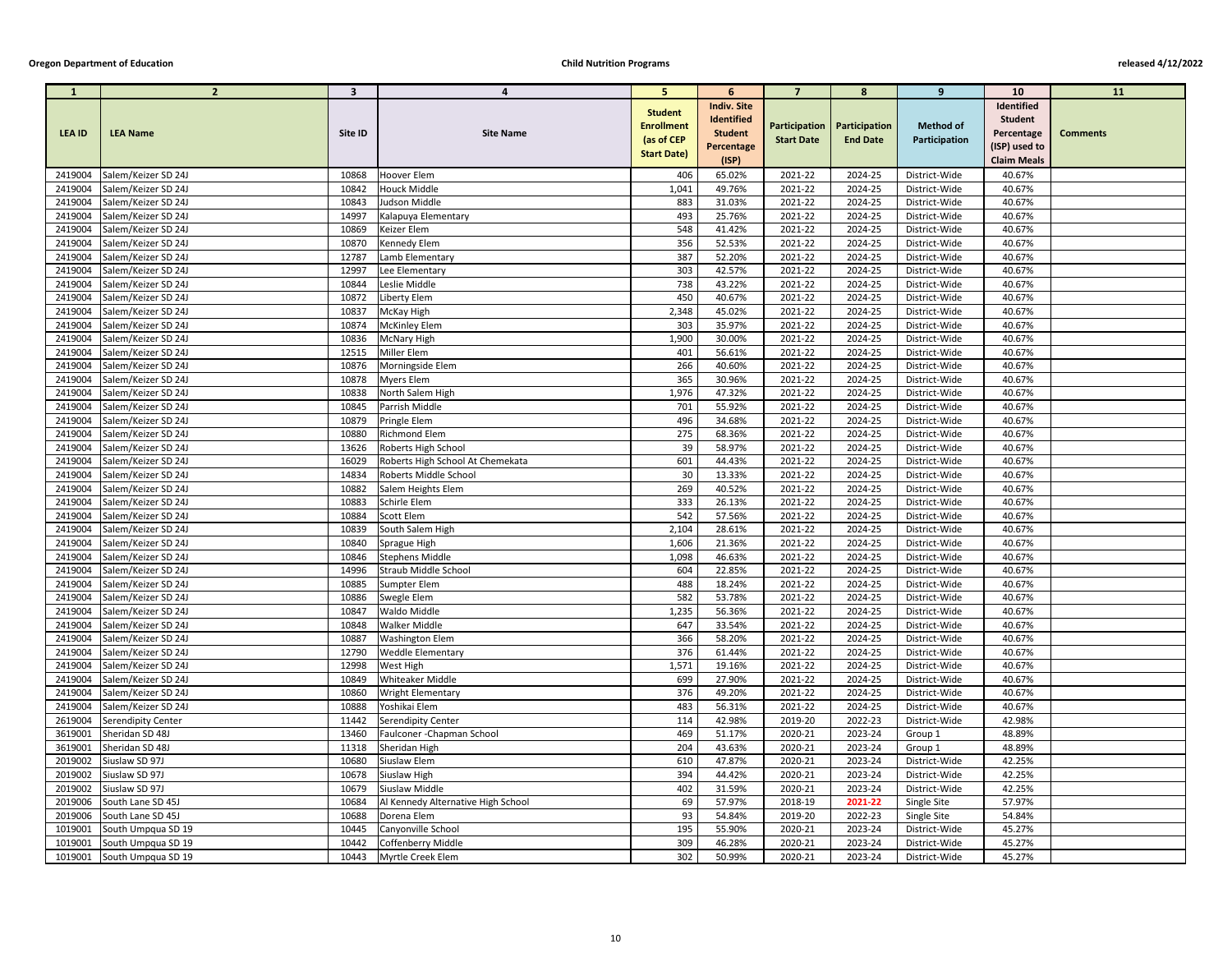| $\mathbf{1}$       | $\overline{2}$                             | $\overline{\mathbf{3}}$ | 4                                                  | 5 <sup>5</sup>                                    | 6                                                         | $\overline{7}$     | 8                                                       | 9                                 | <b>10</b>                                  | <b>11</b>       |
|--------------------|--------------------------------------------|-------------------------|----------------------------------------------------|---------------------------------------------------|-----------------------------------------------------------|--------------------|---------------------------------------------------------|-----------------------------------|--------------------------------------------|-----------------|
| <b>LEA ID</b>      | <b>LEA Name</b>                            | Site ID                 | <b>Site Name</b>                                   | <b>Student</b><br><b>Enrollment</b><br>(as of CEP | <b>Indiv. Site</b><br><b>Identified</b><br><b>Student</b> | <b>Start Date</b>  | <b>Participation   Participation</b><br><b>End Date</b> | <b>Method of</b><br>Participation | Identified<br><b>Student</b><br>Percentage | <b>Comments</b> |
|                    |                                            |                         |                                                    | <b>Start Date)</b>                                | Percentage                                                |                    |                                                         |                                   | (ISP) used to                              |                 |
|                    |                                            |                         | Hoover Elem                                        |                                                   | (ISP)                                                     |                    |                                                         |                                   | <b>Claim Meals</b><br>40.67%               |                 |
| 2419004<br>2419004 | Salem/Keizer SD 24J<br>Salem/Keizer SD 24J | 10868<br>10842          | <b>Houck Middle</b>                                | 406<br>1,041                                      | 65.02%<br>49.76%                                          | 2021-22<br>2021-22 | 2024-25<br>2024-25                                      | District-Wide<br>District-Wide    | 40.67%                                     |                 |
| 2419004            | Salem/Keizer SD 24J                        | 10843                   | Judson Middle                                      | 883                                               | 31.03%                                                    | 2021-22            | 2024-25                                                 | District-Wide                     | 40.67%                                     |                 |
| 2419004            | Salem/Keizer SD 24J                        | 14997                   | Kalapuya Elementary                                | 493                                               | 25.76%                                                    | 2021-22            | 2024-25                                                 | District-Wide                     | 40.67%                                     |                 |
| 2419004            | Salem/Keizer SD 24J                        | 10869                   | Keizer Elem                                        | 548                                               | 41.42%                                                    | 2021-22            | 2024-25                                                 | District-Wide                     | 40.67%                                     |                 |
| 2419004            | Salem/Keizer SD 24J                        | 10870                   | <b>Kennedy Elem</b>                                | 356                                               | 52.53%                                                    | 2021-22            | 2024-25                                                 | District-Wide                     | 40.67%                                     |                 |
| 2419004            | Salem/Keizer SD 24J                        | 12787                   | Lamb Elementary                                    | 387                                               | 52.20%                                                    | 2021-22            | 2024-25                                                 | District-Wide                     | 40.67%                                     |                 |
| 2419004            | Salem/Keizer SD 24J                        | 12997                   | Lee Elementary                                     | 303                                               | 42.57%                                                    | 2021-22            | 2024-25                                                 | District-Wide                     | 40.67%                                     |                 |
| 2419004            | Salem/Keizer SD 24J                        | 10844                   | Leslie Middle                                      | 738                                               | 43.22%                                                    | 2021-22            | 2024-25                                                 | District-Wide                     | 40.67%                                     |                 |
| 2419004            | Salem/Keizer SD 24J                        | 10872                   | Liberty Elem                                       | 450                                               | 40.67%                                                    | 2021-22            | 2024-25                                                 | District-Wide                     | 40.67%                                     |                 |
| 2419004            | Salem/Keizer SD 24J                        | 10837                   | McKay High                                         | 2,348                                             | 45.02%                                                    | 2021-22            | 2024-25                                                 | District-Wide                     | 40.67%                                     |                 |
| 2419004            | Salem/Keizer SD 24J                        | 10874                   | <b>McKinley Elem</b>                               | 303                                               | 35.97%                                                    | 2021-22            | 2024-25                                                 | District-Wide                     | 40.67%                                     |                 |
| 2419004            | Salem/Keizer SD 24J                        | 10836                   | <b>McNary High</b>                                 | 1,900                                             | 30.00%                                                    | 2021-22            | 2024-25                                                 | District-Wide                     | 40.67%                                     |                 |
| 2419004            | Salem/Keizer SD 24J                        | 12515                   | Miller Elem                                        | 401                                               | 56.61%                                                    | 2021-22            | 2024-25                                                 | District-Wide                     | 40.67%                                     |                 |
| 2419004            | Salem/Keizer SD 24J                        | 10876                   | Morningside Elem                                   | 266                                               | 40.60%                                                    | 2021-22            | 2024-25                                                 | District-Wide                     | 40.67%                                     |                 |
| 2419004            | Salem/Keizer SD 24J                        | 10878                   | Myers Elem                                         | 365                                               | 30.96%                                                    | 2021-22            | 2024-25                                                 | District-Wide                     | 40.67%                                     |                 |
| 2419004            | Salem/Keizer SD 24J                        | 10838                   | North Salem High                                   | 1,976                                             | 47.32%                                                    | 2021-22            | 2024-25                                                 | District-Wide                     | 40.67%                                     |                 |
| 2419004            | Salem/Keizer SD 24J                        | 10845                   | Parrish Middle                                     | 701                                               | 55.92%                                                    | 2021-22            | 2024-25                                                 | District-Wide                     | 40.67%                                     |                 |
| 2419004            | Salem/Keizer SD 24J                        | 10879                   | Pringle Elem                                       | 496                                               | 34.68%                                                    | 2021-22            | 2024-25                                                 | District-Wide                     | 40.67%                                     |                 |
| 2419004            | Salem/Keizer SD 24J                        | 10880                   | <b>Richmond Elem</b>                               | 275                                               | 68.36%                                                    | 2021-22            | 2024-25                                                 | District-Wide                     | 40.67%                                     |                 |
| 2419004            | Salem/Keizer SD 24J                        | 13626                   | Roberts High School                                | 39                                                | 58.97%                                                    | 2021-22            | 2024-25                                                 | District-Wide                     | 40.67%                                     |                 |
| 2419004            | Salem/Keizer SD 24J                        | 16029                   | Roberts High School At Chemekata                   | 601                                               | 44.43%                                                    | 2021-22            | 2024-25                                                 | District-Wide                     | 40.67%                                     |                 |
| 2419004            | Salem/Keizer SD 24J                        | 14834                   | Roberts Middle School                              | 30 <sub>o</sub>                                   | 13.33%                                                    | 2021-22            | 2024-25                                                 | District-Wide                     | 40.67%                                     |                 |
| 2419004            | Salem/Keizer SD 24J                        | 10882                   | Salem Heights Elem                                 | 269                                               | 40.52%                                                    | 2021-22            | 2024-25                                                 | District-Wide                     | 40.67%                                     |                 |
| 2419004            | Salem/Keizer SD 24J                        | 10883                   | Schirle Elem                                       | 333                                               | 26.13%                                                    | 2021-22            | 2024-25                                                 | District-Wide                     | 40.67%                                     |                 |
| 2419004            | Salem/Keizer SD 24J                        | 10884                   | <b>Scott Elem</b>                                  | 542                                               | 57.56%                                                    | 2021-22            | 2024-25                                                 | District-Wide                     | 40.67%                                     |                 |
| 2419004            | Salem/Keizer SD 24J                        | 10839                   | South Salem High                                   | 2,104                                             | 28.61%                                                    | 2021-22            | 2024-25                                                 | District-Wide                     | 40.67%                                     |                 |
| 2419004            | Salem/Keizer SD 24J                        | 10840                   | Sprague High                                       | 1,606                                             | 21.36%                                                    | 2021-22            | 2024-25                                                 | District-Wide                     | 40.67%                                     |                 |
| 2419004            | Salem/Keizer SD 24J                        | 10846                   | <b>Stephens Middle</b>                             | 1,098                                             | 46.63%                                                    | 2021-22            | 2024-25                                                 | District-Wide                     | 40.67%                                     |                 |
| 2419004            | Salem/Keizer SD 24J                        | 14996                   | <b>Straub Middle School</b>                        | 604                                               | 22.85%                                                    | 2021-22            | 2024-25                                                 | District-Wide                     | 40.67%                                     |                 |
| 2419004            | Salem/Keizer SD 24J                        | 10885                   | Sumpter Elem                                       | 488                                               | 18.24%                                                    | 2021-22            | 2024-25                                                 | District-Wide                     | 40.67%                                     |                 |
| 2419004            | Salem/Keizer SD 24J                        | 10886                   | Swegle Elem                                        | 582                                               | 53.78%                                                    | 2021-22            | 2024-25                                                 | District-Wide                     | 40.67%                                     |                 |
| 2419004            | Salem/Keizer SD 24J                        | 10847                   | Waldo Middle                                       | 1,235                                             | 56.36%                                                    | 2021-22            | 2024-25                                                 | District-Wide                     | 40.67%                                     |                 |
| 2419004<br>2419004 | Salem/Keizer SD 24J<br>Salem/Keizer SD 24J | 10848<br>10887          | <b>Walker Middle</b>                               | 647<br>366                                        | 33.54%<br>58.20%                                          | 2021-22<br>2021-22 | 2024-25<br>2024-25                                      | District-Wide<br>District-Wide    | 40.67%<br>40.67%                           |                 |
| 2419004            | Salem/Keizer SD 24J                        | 12790                   | <b>Washington Elem</b><br><b>Weddle Elementary</b> | 376                                               | 61.44%                                                    | 2021-22            | 2024-25                                                 | District-Wide                     | 40.67%                                     |                 |
| 2419004            | Salem/Keizer SD 24J                        | 12998                   | West High                                          | 1,571                                             | 19.16%                                                    | 2021-22            | 2024-25                                                 | District-Wide                     | 40.67%                                     |                 |
| 2419004            | Salem/Keizer SD 24J                        | 10849                   | Whiteaker Middle                                   | 699                                               | 27.90%                                                    | 2021-22            | 2024-25                                                 | District-Wide                     | 40.67%                                     |                 |
| 2419004            | Salem/Keizer SD 24J                        | 10860                   | <b>Wright Elementary</b>                           | 376                                               | 49.20%                                                    | 2021-22            | 2024-25                                                 | District-Wide                     | 40.67%                                     |                 |
| 2419004            | Salem/Keizer SD 24J                        | 10888                   | Yoshikai Elem                                      | 483                                               | 56.31%                                                    | 2021-22            | 2024-25                                                 | District-Wide                     | 40.67%                                     |                 |
| 2619004            | Serendipity Center                         | 11442                   | <b>Serendipity Center</b>                          | 114                                               | 42.98%                                                    | 2019-20            | 2022-23                                                 | District-Wide                     | 42.98%                                     |                 |
| 3619001            | Sheridan SD 48J                            | 13460                   | Faulconer - Chapman School                         | 469                                               | 51.17%                                                    | 2020-21            | 2023-24                                                 | Group 1                           | 48.89%                                     |                 |
| 3619001            | Sheridan SD 48J                            | 11318                   | Sheridan High                                      | 204                                               | 43.63%                                                    | 2020-21            | 2023-24                                                 | Group 1                           | 48.89%                                     |                 |
| 2019002            | Siuslaw SD 97J                             | 10680                   | Siuslaw Elem                                       | 610                                               | 47.87%                                                    | 2020-21            | 2023-24                                                 | District-Wide                     | 42.25%                                     |                 |
| 2019002            | Siuslaw SD 97J                             | 10678                   | Siuslaw High                                       | 394                                               | 44.42%                                                    | 2020-21            | 2023-24                                                 | District-Wide                     | 42.25%                                     |                 |
| 2019002            | Siuslaw SD 97J                             | 10679                   | Siuslaw Middle                                     | 402                                               | 31.59%                                                    | 2020-21            | 2023-24                                                 | District-Wide                     | 42.25%                                     |                 |
| 2019006            | South Lane SD 45J                          | 10684                   | Al Kennedy Alternative High School                 | 69                                                | 57.97%                                                    | 2018-19            | 2021-22                                                 | Single Site                       | 57.97%                                     |                 |
| 2019006            | South Lane SD 45J                          | 10688                   | Dorena Elem                                        | 93                                                | 54.84%                                                    | 2019-20            | 2022-23                                                 | <b>Single Site</b>                | 54.84%                                     |                 |
| 1019001            | South Umpqua SD 19                         | 10445                   | Canyonville School                                 | 195                                               | 55.90%                                                    | 2020-21            | 2023-24                                                 | District-Wide                     | 45.27%                                     |                 |
| 1019001            | South Umpqua SD 19                         | 10442                   | Coffenberry Middle                                 | 309                                               | 46.28%                                                    | 2020-21            | 2023-24                                                 | District-Wide                     | 45.27%                                     |                 |
| 1019001            | South Umpqua SD 19                         | 10443                   | Myrtle Creek Elem                                  | 302                                               | 50.99%                                                    | 2020-21            | 2023-24                                                 | District-Wide                     | 45.27%                                     |                 |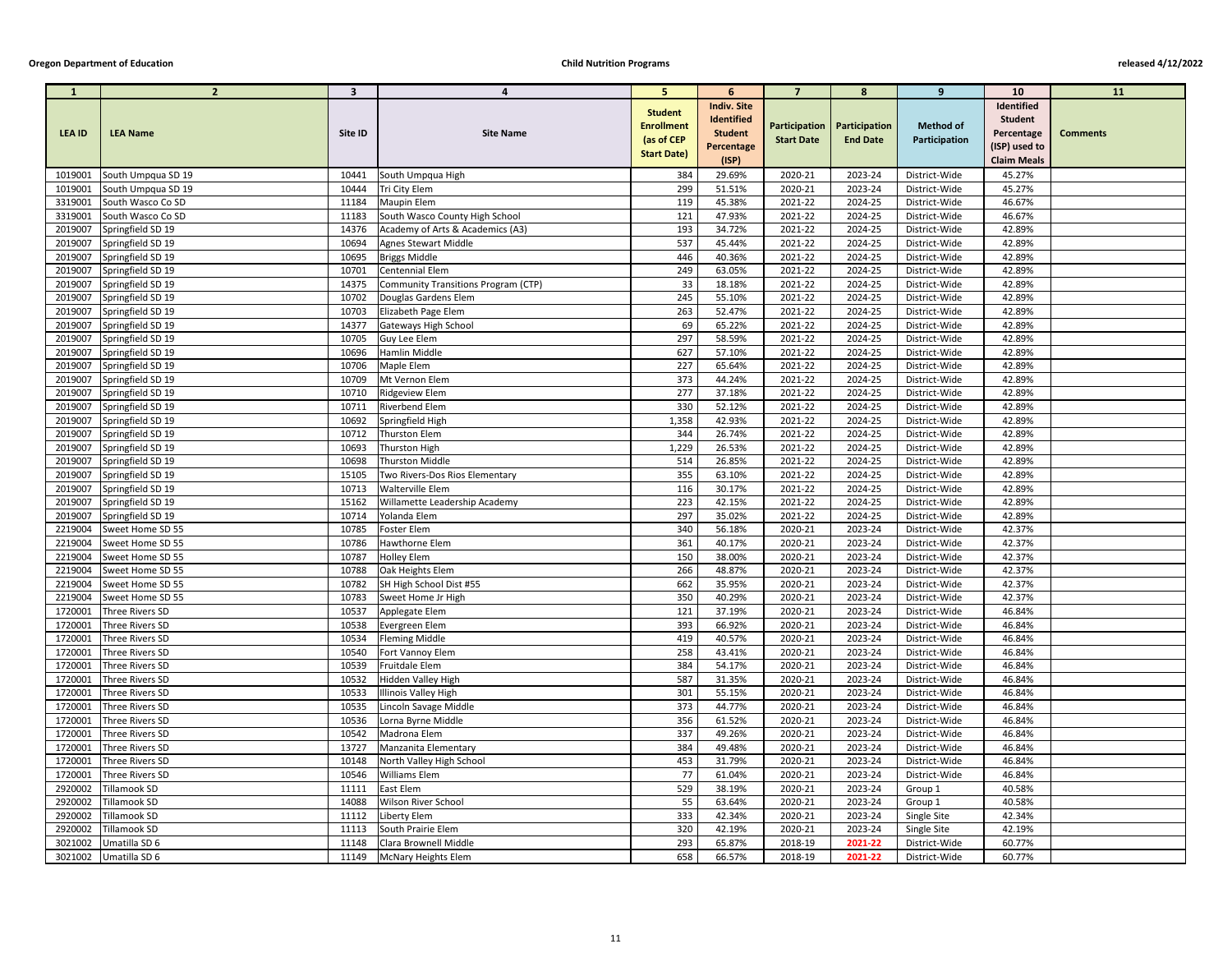| $\mathbf{1}$  | $\overline{2}$     | $\overline{\mathbf{3}}$ | 4                                   | -5.                                                                     | 6                                                                         | $\overline{ }$    | -8                                               | 9                                 | <b>10</b>                                                                         | <b>11</b>       |
|---------------|--------------------|-------------------------|-------------------------------------|-------------------------------------------------------------------------|---------------------------------------------------------------------------|-------------------|--------------------------------------------------|-----------------------------------|-----------------------------------------------------------------------------------|-----------------|
| <b>LEA ID</b> | <b>LEA Name</b>    | Site ID                 | <b>Site Name</b>                    | <b>Student</b><br><b>Enrollment</b><br>(as of CEP<br><b>Start Date)</b> | <b>Indiv. Site</b><br>Identified<br><b>Student</b><br>Percentage<br>(ISP) | <b>Start Date</b> | Participation   Participation<br><b>End Date</b> | <b>Method of</b><br>Participation | Identified<br><b>Student</b><br>Percentage<br>(ISP) used to<br><b>Claim Meals</b> | <b>Comments</b> |
| 1019001       | South Umpqua SD 19 | 10441                   | South Umpqua High                   | 384                                                                     | 29.69%                                                                    | 2020-21           | 2023-24                                          | District-Wide                     | 45.27%                                                                            |                 |
| 1019001       | South Umpqua SD 19 | 10444                   | Tri City Elem                       | 299                                                                     | 51.51%                                                                    | 2020-21           | 2023-24                                          | District-Wide                     | 45.27%                                                                            |                 |
| 3319001       | South Wasco Co SD  | 11184                   | <b>Maupin Elem</b>                  | 119                                                                     | 45.38%                                                                    | 2021-22           | 2024-25                                          | District-Wide                     | 46.67%                                                                            |                 |
| 3319001       | South Wasco Co SD  | 11183                   | South Wasco County High School      | 121                                                                     | 47.93%                                                                    | 2021-22           | 2024-25                                          | District-Wide                     | 46.67%                                                                            |                 |
| 2019007       | Springfield SD 19  | 14376                   | Academy of Arts & Academics (A3)    | 193                                                                     | 34.72%                                                                    | 2021-22           | 2024-25                                          | District-Wide                     | 42.89%                                                                            |                 |
| 2019007       | Springfield SD 19  | 10694                   | <b>Agnes Stewart Middle</b>         | 537                                                                     | 45.44%                                                                    | 2021-22           | 2024-25                                          | District-Wide                     | 42.89%                                                                            |                 |
| 2019007       | Springfield SD 19  | 10695                   | <b>Briggs Middle</b>                | 446                                                                     | 40.36%                                                                    | 2021-22           | 2024-25                                          | District-Wide                     | 42.89%                                                                            |                 |
| 2019007       | Springfield SD 19  | 10701                   | Centennial Elem                     | 249                                                                     | 63.05%                                                                    | 2021-22           | 2024-25                                          | District-Wide                     | 42.89%                                                                            |                 |
| 2019007       | Springfield SD 19  | 14375                   | Community Transitions Program (CTP) | 33                                                                      | 18.18%                                                                    | 2021-22           | 2024-25                                          | District-Wide                     | 42.89%                                                                            |                 |
| 2019007       | Springfield SD 19  | 10702                   | Douglas Gardens Elem                | 245                                                                     | 55.10%                                                                    | 2021-22           | 2024-25                                          | District-Wide                     | 42.89%                                                                            |                 |
| 2019007       | Springfield SD 19  | 10703                   | Elizabeth Page Elem                 | 263                                                                     | 52.47%                                                                    | 2021-22           | 2024-25                                          | District-Wide                     | 42.89%                                                                            |                 |
| 2019007       | Springfield SD 19  | 14377                   | Gateways High School                | 69                                                                      | 65.22%                                                                    | 2021-22           | 2024-25                                          | District-Wide                     | 42.89%                                                                            |                 |
| 2019007       | Springfield SD 19  | 10705                   | Guy Lee Elem                        | 297                                                                     | 58.59%                                                                    | 2021-22           | 2024-25                                          | District-Wide                     | 42.89%                                                                            |                 |
| 2019007       | Springfield SD 19  | 10696                   | Hamlin Middle                       | 627                                                                     | 57.10%                                                                    | 2021-22           | 2024-25                                          | District-Wide                     | 42.89%                                                                            |                 |
| 2019007       | Springfield SD 19  | 10706                   | Maple Elem                          | 227                                                                     | 65.64%                                                                    | 2021-22           | 2024-25                                          | District-Wide                     | 42.89%                                                                            |                 |
| 2019007       | Springfield SD 19  | 10709                   | Mt Vernon Elem                      | 373                                                                     | 44.24%                                                                    | 2021-22           | 2024-25                                          | District-Wide                     | 42.89%                                                                            |                 |
| 2019007       | Springfield SD 19  | 10710                   | Ridgeview Elem                      | 277                                                                     | 37.18%                                                                    | 2021-22           | 2024-25                                          | District-Wide                     | 42.89%                                                                            |                 |
| 2019007       | Springfield SD 19  | 10711                   | Riverbend Elem                      | 330                                                                     | 52.12%                                                                    | 2021-22           | 2024-25                                          | District-Wide                     | 42.89%                                                                            |                 |
| 2019007       | Springfield SD 19  | 10692                   | Springfield High                    | 1,358                                                                   | 42.93%                                                                    | 2021-22           | 2024-25                                          | District-Wide                     | 42.89%                                                                            |                 |
| 2019007       | Springfield SD 19  | 10712                   | <b>Thurston Elem</b>                | 344                                                                     | 26.74%                                                                    | 2021-22           | 2024-25                                          | District-Wide                     | 42.89%                                                                            |                 |
| 2019007       | Springfield SD 19  | 10693                   | Thurston High                       | 1,229                                                                   | 26.53%                                                                    | 2021-22           | 2024-25                                          | District-Wide                     | 42.89%                                                                            |                 |
| 2019007       | Springfield SD 19  | 10698                   | Thurston Middle                     | 514                                                                     | 26.85%                                                                    | 2021-22           | 2024-25                                          | District-Wide                     | 42.89%                                                                            |                 |
| 2019007       | Springfield SD 19  | 15105                   | Two Rivers-Dos Rios Elementary      | 355                                                                     | 63.10%                                                                    | 2021-22           | 2024-25                                          | District-Wide                     | 42.89%                                                                            |                 |
| 2019007       | Springfield SD 19  | 10713                   | <b>Walterville Elem</b>             | 116                                                                     | 30.17%                                                                    | 2021-22           | 2024-25                                          | District-Wide                     | 42.89%                                                                            |                 |
| 2019007       | Springfield SD 19  | 15162                   | Willamette Leadership Academy       | 223                                                                     | 42.15%                                                                    | 2021-22           | 2024-25                                          | District-Wide                     | 42.89%                                                                            |                 |
| 2019007       | Springfield SD 19  | 10714                   | Yolanda Elem                        | 297                                                                     | 35.02%                                                                    | 2021-22           | 2024-25                                          | District-Wide                     | 42.89%                                                                            |                 |
| 2219004       | Sweet Home SD 55   | 10785                   | Foster Elem                         | 340                                                                     | 56.18%                                                                    | 2020-21           | 2023-24                                          | District-Wide                     | 42.37%                                                                            |                 |
| 2219004       | Sweet Home SD 55   | 10786                   | Hawthorne Elem                      | 361                                                                     | 40.17%                                                                    | 2020-21           | 2023-24                                          | District-Wide                     | 42.37%                                                                            |                 |
| 2219004       | Sweet Home SD 55   | 10787                   | <b>Holley Elem</b>                  | 150                                                                     | 38.00%                                                                    | 2020-21           | 2023-24                                          | District-Wide                     | 42.37%                                                                            |                 |
| 2219004       | Sweet Home SD 55   | 10788                   | Oak Heights Elem                    | 266                                                                     | 48.87%                                                                    | 2020-21           | 2023-24                                          | District-Wide                     | 42.37%                                                                            |                 |
| 2219004       | Sweet Home SD 55   | 10782                   | SH High School Dist #55             | 662                                                                     | 35.95%                                                                    | 2020-21           | 2023-24                                          | District-Wide                     | 42.37%                                                                            |                 |
| 2219004       | Sweet Home SD 55   | 10783                   | Sweet Home Jr High                  | 350                                                                     | 40.29%                                                                    | 2020-21           | 2023-24                                          | District-Wide                     | 42.37%                                                                            |                 |
| 1720001       | Three Rivers SD    | 10537                   | Applegate Elem                      | 121                                                                     | 37.19%                                                                    | 2020-21           | 2023-24                                          | District-Wide                     | 46.84%                                                                            |                 |
| 1720001       | Three Rivers SD    | 10538                   | Evergreen Elem                      | 393                                                                     | 66.92%                                                                    | 2020-21           | 2023-24                                          | District-Wide                     | 46.84%                                                                            |                 |
| 1720001       | Three Rivers SD    | 10534                   | <b>Fleming Middle</b>               | 419                                                                     | 40.57%                                                                    | 2020-21           | 2023-24                                          | District-Wide                     | 46.84%                                                                            |                 |
| 1720001       | Three Rivers SD    | 10540                   | Fort Vannoy Elem                    | 258                                                                     | 43.41%                                                                    | 2020-21           | 2023-24                                          | District-Wide                     | 46.84%                                                                            |                 |
| 1720001       | Three Rivers SD    | 10539                   | Fruitdale Elem                      | 384                                                                     | 54.17%                                                                    | 2020-21           | 2023-24                                          | District-Wide                     | 46.84%                                                                            |                 |
| 1720001       | Three Rivers SD    | 10532                   | Hidden Valley High                  | 587                                                                     | 31.35%                                                                    | 2020-21           | 2023-24                                          | District-Wide                     | 46.84%                                                                            |                 |
| 1720001       | Three Rivers SD    | 10533                   | Illinois Valley High                | 301                                                                     | 55.15%                                                                    | 2020-21           | 2023-24                                          | District-Wide                     | 46.84%                                                                            |                 |
| 1720001       | Three Rivers SD    | 10535                   | Lincoln Savage Middle               | 373                                                                     | 44.77%                                                                    | 2020-21           | 2023-24                                          | District-Wide                     | 46.84%                                                                            |                 |
| 1720001       | Three Rivers SD    | 10536                   | Lorna Byrne Middle                  | 356                                                                     | 61.52%                                                                    | 2020-21           | 2023-24                                          | District-Wide                     | 46.84%                                                                            |                 |
| 1720001       | Three Rivers SD    | 10542                   | Madrona Elem                        | 337                                                                     | 49.26%                                                                    | 2020-21           | 2023-24                                          | District-Wide                     | 46.84%                                                                            |                 |
| 1720001       | Three Rivers SD    | 13727                   | Manzanita Elementary                | 384                                                                     | 49.48%                                                                    | 2020-21           | 2023-24                                          | District-Wide                     | 46.84%                                                                            |                 |
| 1720001       | Three Rivers SD    | 10148                   | North Valley High School            | 453                                                                     | 31.79%                                                                    | 2020-21           | 2023-24                                          | District-Wide                     | 46.84%                                                                            |                 |
| 1720001       | Three Rivers SD    | 10546                   | <b>Williams Elem</b>                | 77                                                                      | 61.04%                                                                    | 2020-21           | 2023-24                                          | District-Wide                     | 46.84%                                                                            |                 |
| 2920002       | Tillamook SD       | 11111                   | East Elem                           | 529                                                                     | 38.19%                                                                    | 2020-21           | 2023-24                                          | Group 1                           | 40.58%                                                                            |                 |
| 2920002       | Tillamook SD       | 14088                   | <b>Wilson River School</b>          | 55                                                                      | 63.64%                                                                    | 2020-21           | 2023-24                                          | Group 1                           | 40.58%                                                                            |                 |
| 2920002       | Tillamook SD       | 11112                   | Liberty Elem                        | 333                                                                     | 42.34%                                                                    | 2020-21           | 2023-24                                          | Single Site                       | 42.34%                                                                            |                 |
| 2920002       | Tillamook SD       | 11113                   | South Prairie Elem                  | 320                                                                     | 42.19%                                                                    | 2020-21           | 2023-24                                          | Single Site                       | 42.19%                                                                            |                 |
| 3021002       | Umatilla SD 6      | 11148                   | Clara Brownell Middle               | 293                                                                     | 65.87%                                                                    | 2018-19           | 2021-22                                          | District-Wide                     | 60.77%                                                                            |                 |
| 3021002       | Umatilla SD 6      | 11149                   | <b>McNary Heights Elem</b>          | 658                                                                     | 66.57%                                                                    | 2018-19           | 2021-22                                          | District-Wide                     | 60.77%                                                                            |                 |